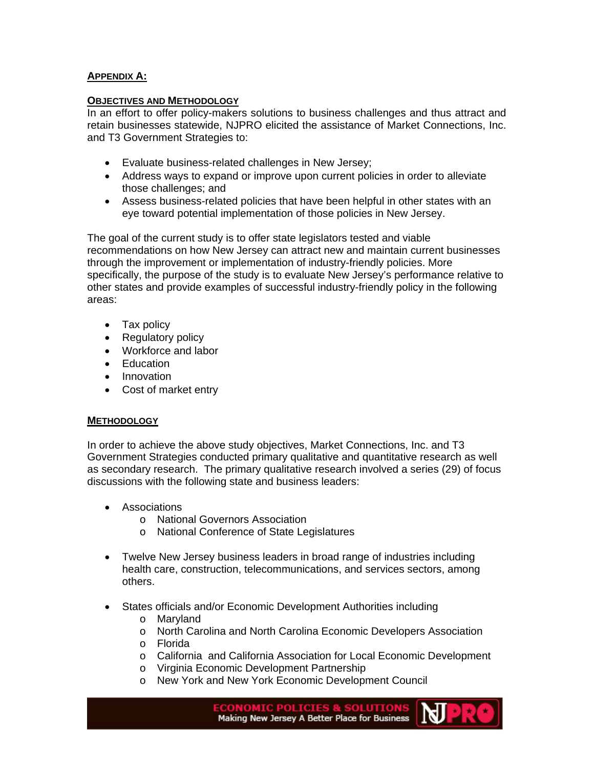### **APPENDIX A:**

#### **OBJECTIVES AND METHODOLOGY**

In an effort to offer policy-makers solutions to business challenges and thus attract and retain businesses statewide, NJPRO elicited the assistance of Market Connections, Inc. and T3 Government Strategies to:

- Evaluate business-related challenges in New Jersey;
- Address ways to expand or improve upon current policies in order to alleviate those challenges; and
- Assess business-related policies that have been helpful in other states with an eye toward potential implementation of those policies in New Jersey.

The goal of the current study is to offer state legislators tested and viable recommendations on how New Jersey can attract new and maintain current businesses through the improvement or implementation of industry-friendly policies. More specifically, the purpose of the study is to evaluate New Jersey's performance relative to other states and provide examples of successful industry-friendly policy in the following areas:

- Tax policy
- Regulatory policy
- Workforce and labor
- Education
- Innovation
- Cost of market entry

#### **METHODOLOGY**

In order to achieve the above study objectives, Market Connections, Inc. and T3 Government Strategies conducted primary qualitative and quantitative research as well as secondary research. The primary qualitative research involved a series (29) of focus discussions with the following state and business leaders:

- **Associations** 
	- o National Governors Association
	- o National Conference of State Legislatures
- Twelve New Jersey business leaders in broad range of industries including health care, construction, telecommunications, and services sectors, among others.
- States officials and/or Economic Development Authorities including
	- o Maryland
	- o North Carolina and North Carolina Economic Developers Association
	- o Florida
	- o California and California Association for Local Economic Development
	- o Virginia Economic Development Partnership
	- o New York and New York Economic Development Council

POLICI Making New Jersey A Better Place for Business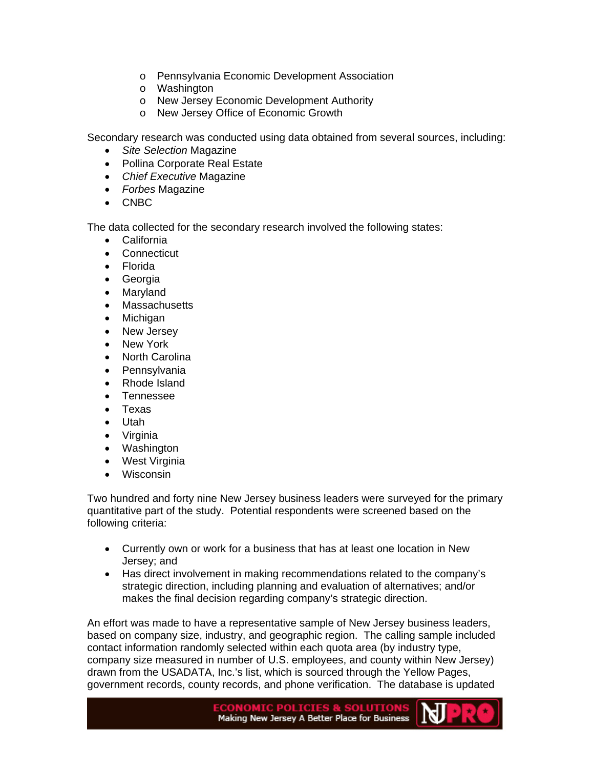- o Pennsylvania Economic Development Association
- o Washington
- o New Jersey Economic Development Authority
- o New Jersey Office of Economic Growth

Secondary research was conducted using data obtained from several sources, including:

- *Site Selection* Magazine
- Pollina Corporate Real Estate
- *Chief Executive* Magazine
- *Forbes* Magazine
- CNBC

The data collected for the secondary research involved the following states:

- California
- Connecticut
- Florida
- Georgia
- Maryland
- Massachusetts
- Michigan
- New Jersey
- New York
- North Carolina
- Pennsylvania
- Rhode Island
- Tennessee
- Texas
- Utah
- Virginia
- Washington
- West Virginia
- Wisconsin

Two hundred and forty nine New Jersey business leaders were surveyed for the primary quantitative part of the study. Potential respondents were screened based on the following criteria:

- Currently own or work for a business that has at least one location in New Jersey; and
- Has direct involvement in making recommendations related to the company's strategic direction, including planning and evaluation of alternatives; and/or makes the final decision regarding company's strategic direction.

An effort was made to have a representative sample of New Jersey business leaders, based on company size, industry, and geographic region. The calling sample included contact information randomly selected within each quota area (by industry type, company size measured in number of U.S. employees, and county within New Jersey) drawn from the USADATA, Inc.'s list, which is sourced through the Yellow Pages, government records, county records, and phone verification. The database is updated

Making New Jersey A Better Place for Business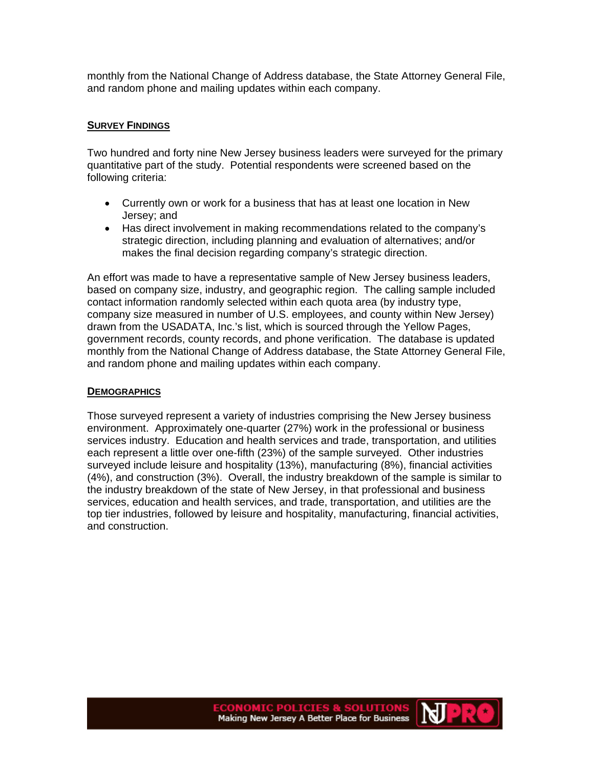monthly from the National Change of Address database, the State Attorney General File, and random phone and mailing updates within each company.

#### **SURVEY FINDINGS**

Two hundred and forty nine New Jersey business leaders were surveyed for the primary quantitative part of the study. Potential respondents were screened based on the following criteria:

- Currently own or work for a business that has at least one location in New Jersey; and
- Has direct involvement in making recommendations related to the company's strategic direction, including planning and evaluation of alternatives; and/or makes the final decision regarding company's strategic direction.

An effort was made to have a representative sample of New Jersey business leaders, based on company size, industry, and geographic region. The calling sample included contact information randomly selected within each quota area (by industry type, company size measured in number of U.S. employees, and county within New Jersey) drawn from the USADATA, Inc.'s list, which is sourced through the Yellow Pages, government records, county records, and phone verification. The database is updated monthly from the National Change of Address database, the State Attorney General File, and random phone and mailing updates within each company.

#### **DEMOGRAPHICS**

Those surveyed represent a variety of industries comprising the New Jersey business environment. Approximately one-quarter (27%) work in the professional or business services industry. Education and health services and trade, transportation, and utilities each represent a little over one-fifth (23%) of the sample surveyed. Other industries surveyed include leisure and hospitality (13%), manufacturing (8%), financial activities (4%), and construction (3%). Overall, the industry breakdown of the sample is similar to the industry breakdown of the state of New Jersey, in that professional and business services, education and health services, and trade, transportation, and utilities are the top tier industries, followed by leisure and hospitality, manufacturing, financial activities, and construction.

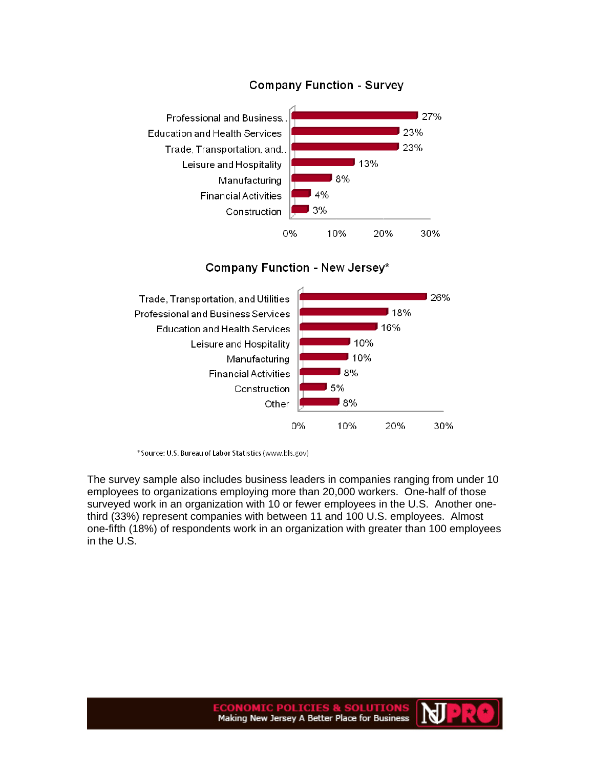

## **Company Function - Survey**





\*Source: U.S. Bureau of Labor Statistics (www.bls.gov)

The survey sample also includes business leaders in companies ranging from under 10 employees to organizations employing more than 20,000 workers. One-half of those surveyed work in an organization with 10 or fewer employees in the U.S. Another onethird (33%) represent companies with between 11 and 100 U.S. employees. Almost one-fifth (18%) of respondents work in an organization with greater than 100 employees in the U.S.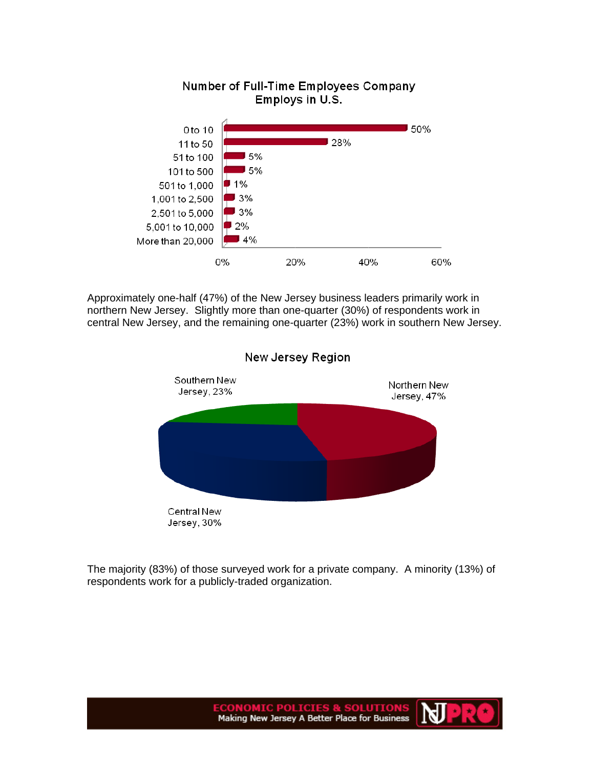

Approximately one-half (47%) of the New Jersey business leaders primarily work in northern New Jersey. Slightly more than one-quarter (30%) of respondents work in central New Jersey, and the remaining one-quarter (23%) work in southern New Jersey.



The majority (83%) of those surveyed work for a private company. A minority (13%) of respondents work for a publicly-traded organization.

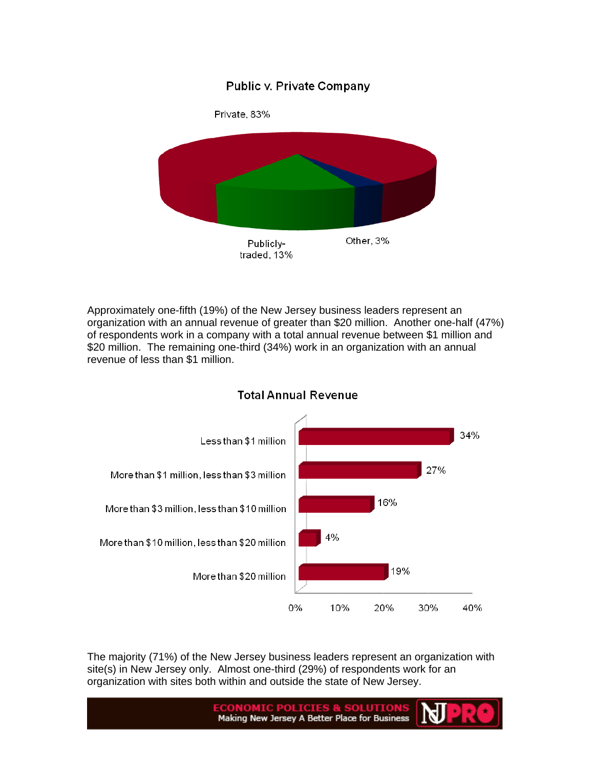## **Public v. Private Company**



Approximately one-fifth (19%) of the New Jersey business leaders represent an organization with an annual revenue of greater than \$20 million. Another one-half (47%) of respondents work in a company with a total annual revenue between \$1 million and \$20 million. The remaining one-third (34%) work in an organization with an annual revenue of less than \$1 million.



### **Total Annual Revenue**

The majority (71%) of the New Jersey business leaders represent an organization with site(s) in New Jersey only. Almost one-third (29%) of respondents work for an organization with sites both within and outside the state of New Jersey.

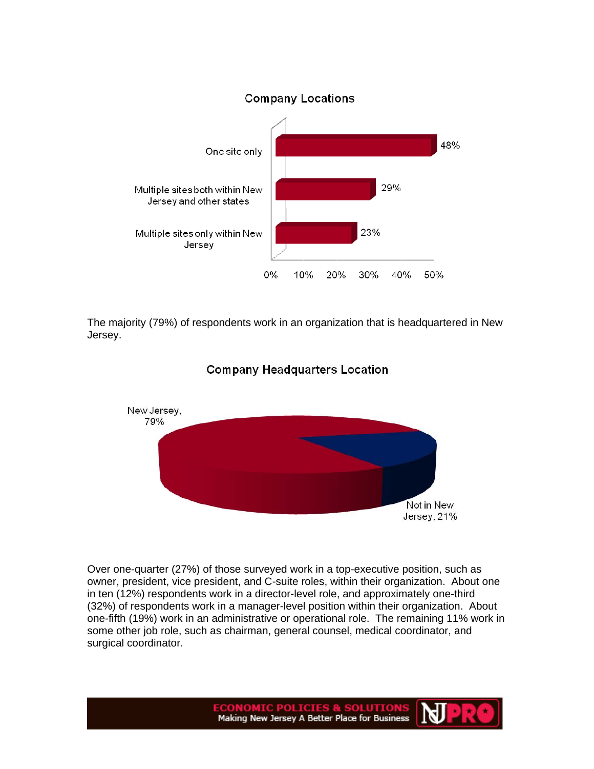

The majority (79%) of respondents work in an organization that is headquartered in New Jersey.



## **Company Headquarters Location**

Over one-quarter (27%) of those surveyed work in a top-executive position, such as owner, president, vice president, and C-suite roles, within their organization. About one in ten (12%) respondents work in a director-level role, and approximately one-third (32%) of respondents work in a manager-level position within their organization. About one-fifth (19%) work in an administrative or operational role. The remaining 11% work in some other job role, such as chairman, general counsel, medical coordinator, and surgical coordinator.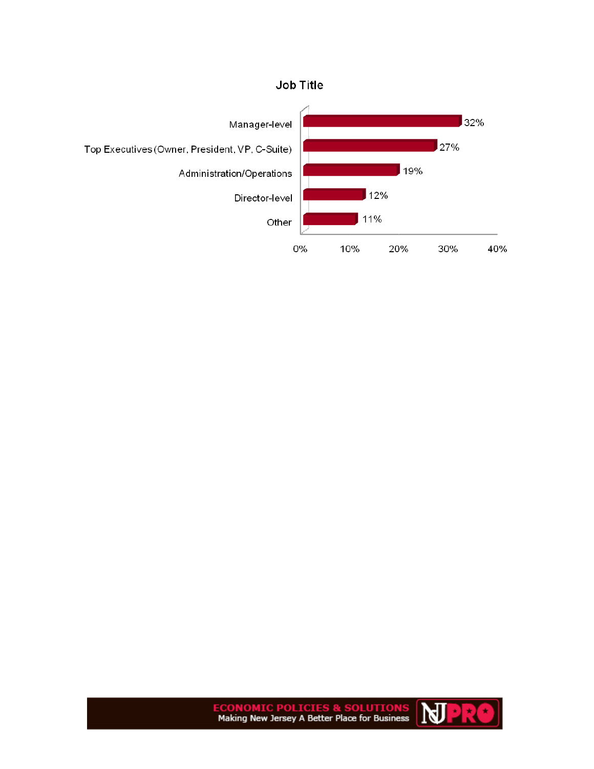

## Job Title

**ECONOMIC POLICIES & SOLUTIONS**<br>Making New Jersey A Better Place for Business

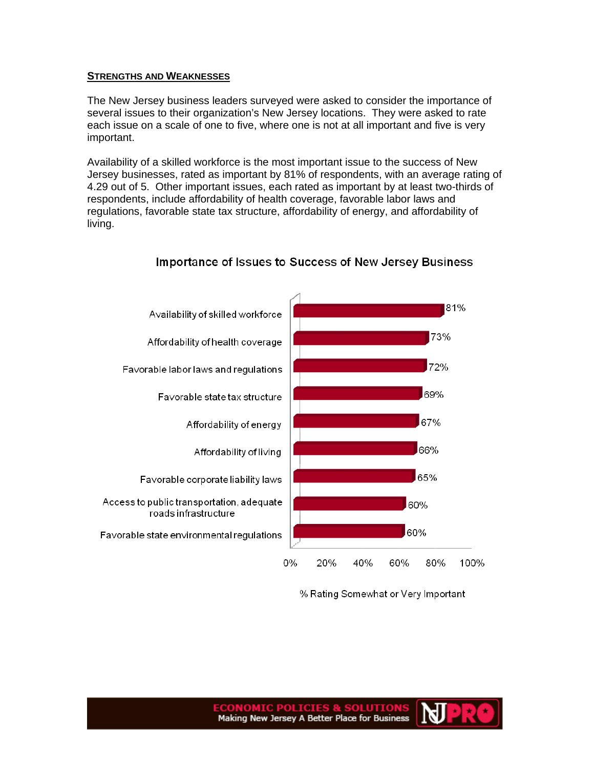#### **STRENGTHS AND WEAKNESSES**

The New Jersey business leaders surveyed were asked to consider the importance of several issues to their organization's New Jersey locations. They were asked to rate each issue on a scale of one to five, where one is not at all important and five is very important.

Availability of a skilled workforce is the most important issue to the success of New Jersey businesses, rated as important by 81% of respondents, with an average rating of 4.29 out of 5. Other important issues, each rated as important by at least two-thirds of respondents, include affordability of health coverage, favorable labor laws and regulations, favorable state tax structure, affordability of energy, and affordability of living.



## Importance of Issues to Success of New Jersey Business

% Rating Somewhat or Very Important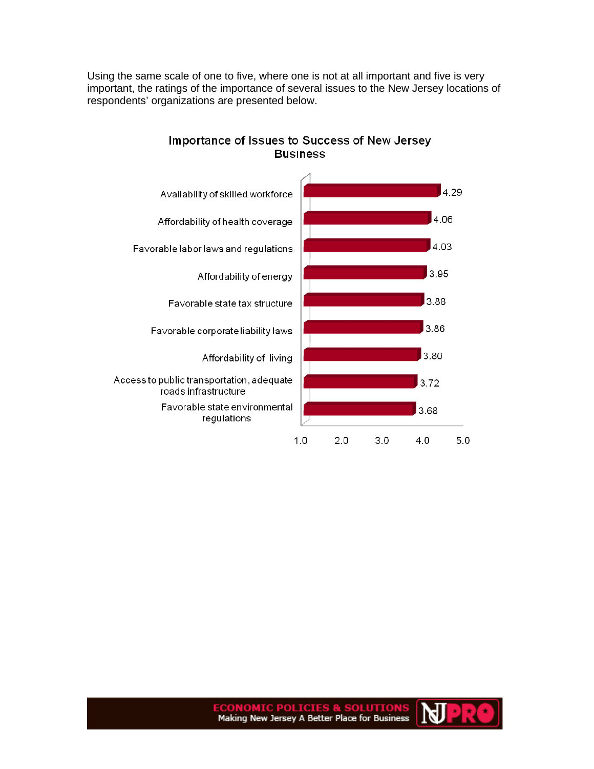Using the same scale of one to five, where one is not at all important and five is very important, the ratings of the importance of several issues to the New Jersey locations of respondents' organizations are presented below.



## Importance of Issues to Success of New Jersey **Business**

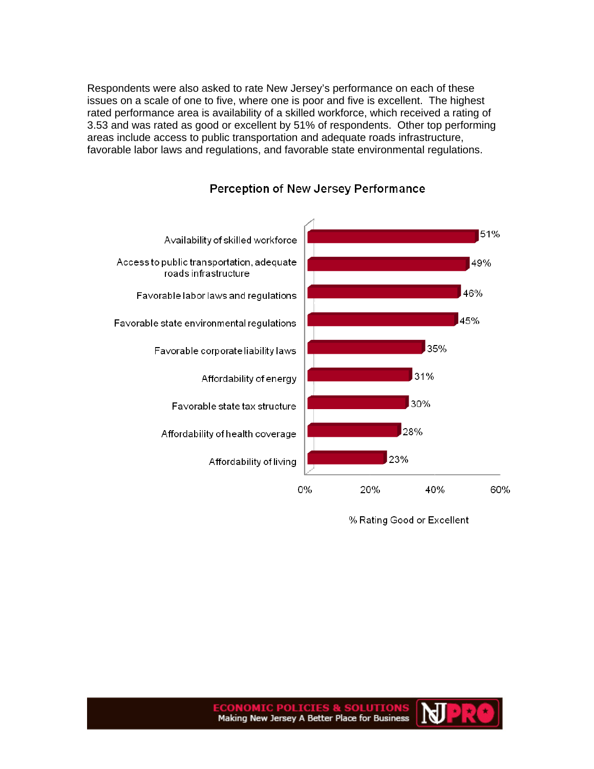Respondents were also asked to rate New Jersey's performance on each of these issues on a scale of one to five, where one is poor and five is excellent. The highest rated performance area is availability of a skilled workforce, which received a rating of 3.53 and was rated as good or excellent by 51% of respondents. Other top performing areas include access to public transportation and adequate roads infrastructure, favorable labor laws and regulations, and favorable state environmental regulations.



## **Perception of New Jersey Performance**

% Rating Good or Excellent

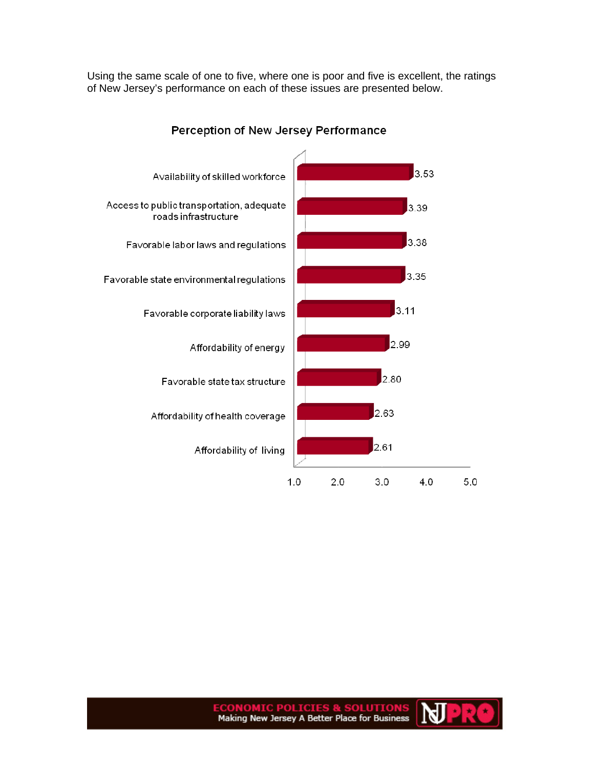Using the same scale of one to five, where one is poor and five is excellent, the ratings of New Jersey's performance on each of these issues are presented below.



## Perception of New Jersey Performance

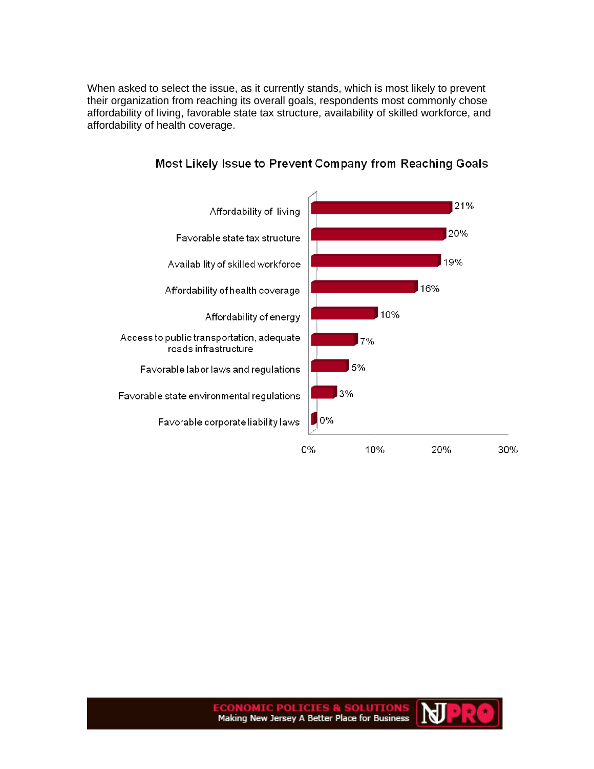When asked to select the issue, as it currently stands, which is most likely to prevent their organization from reaching its overall goals, respondents most commonly chose affordability of living, favorable state tax structure, availability of skilled workforce, and affordability of health coverage.



## Most Likely Issue to Prevent Company from Reaching Goals

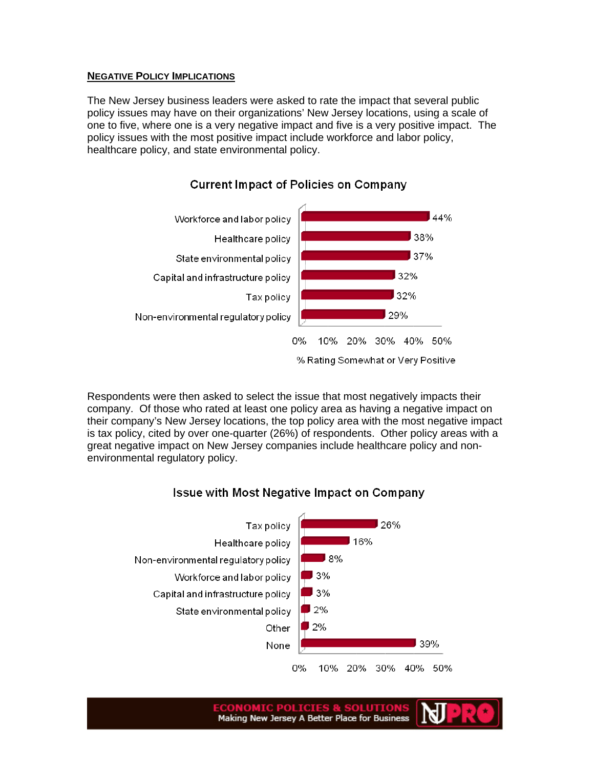#### **NEGATIVE POLICY IMPLICATIONS**

The New Jersey business leaders were asked to rate the impact that several public policy issues may have on their organizations' New Jersey locations, using a scale of one to five, where one is a very negative impact and five is a very positive impact. The policy issues with the most positive impact include workforce and labor policy, healthcare policy, and state environmental policy.



## **Current Impact of Policies on Company**

Respondents were then asked to select the issue that most negatively impacts their company. Of those who rated at least one policy area as having a negative impact on their company's New Jersey locations, the top policy area with the most negative impact is tax policy, cited by over one-quarter (26%) of respondents. Other policy areas with a great negative impact on New Jersey companies include healthcare policy and nonenvironmental regulatory policy.



### **Issue with Most Negative Impact on Company**

Making New Jersey A Better Place for Business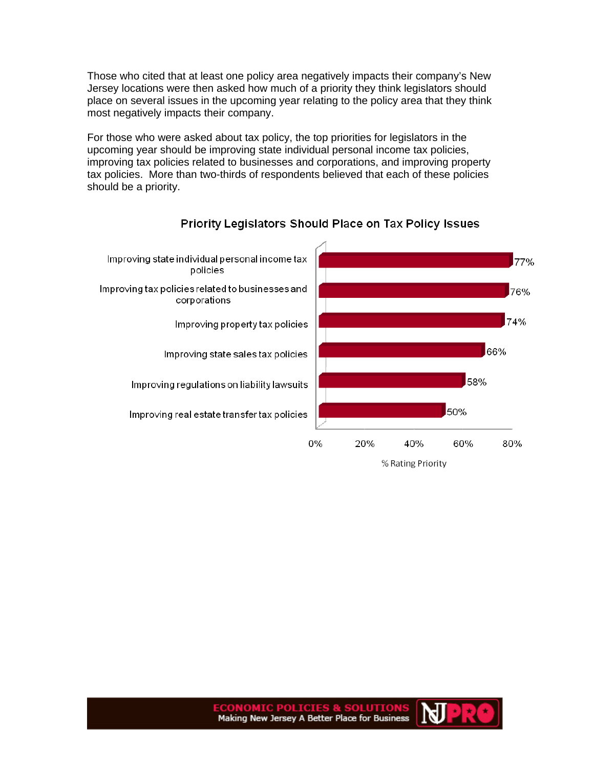Those who cited that at least one policy area negatively impacts their company's New Jersey locations were then asked how much of a priority they think legislators should place on several issues in the upcoming year relating to the policy area that they think most negatively impacts their company.

For those who were asked about tax policy, the top priorities for legislators in the upcoming year should be improving state individual personal income tax policies, improving tax policies related to businesses and corporations, and improving property tax policies. More than two-thirds of respondents believed that each of these policies should be a priority.



## Priority Legislators Should Place on Tax Policy Issues

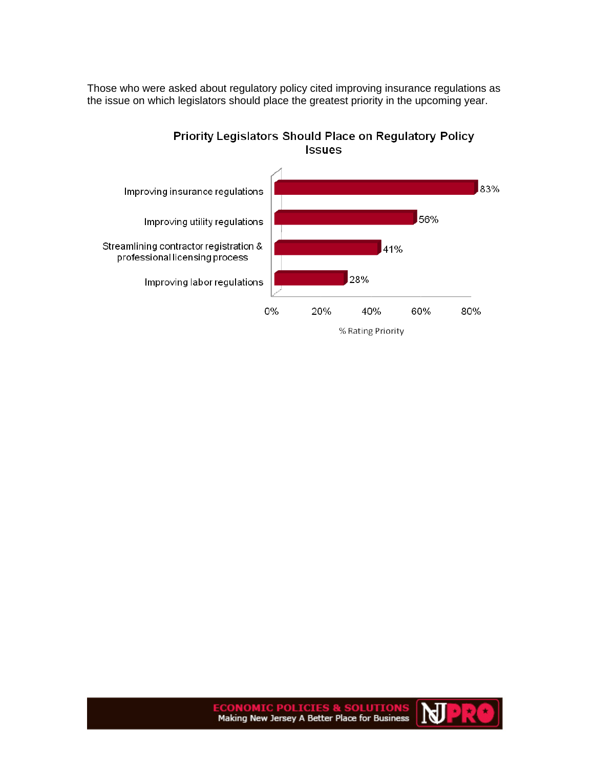Those who were asked about regulatory policy cited improving insurance regulations as the issue on which legislators should place the greatest priority in the upcoming year.



Priority Legislators Should Place on Regulatory Policy **Issues** 



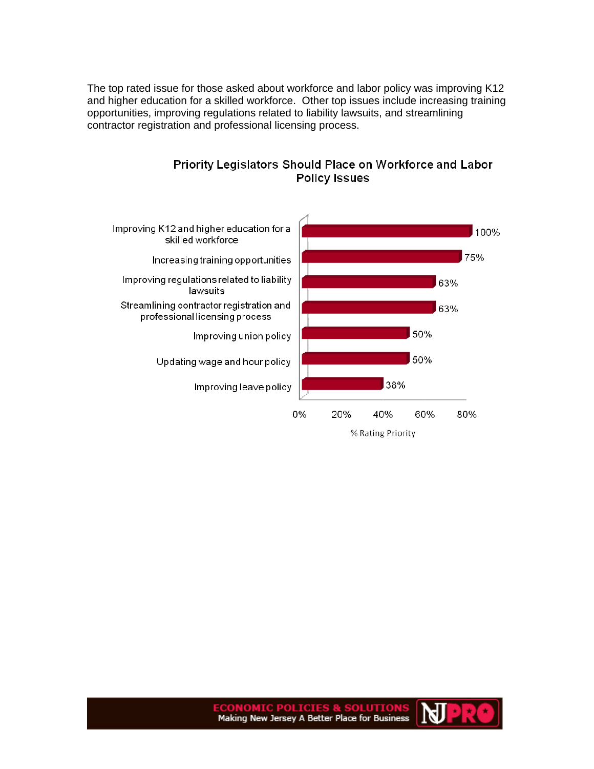The top rated issue for those asked about workforce and labor policy was improving K12 and higher education for a skilled workforce. Other top issues include increasing training opportunities, improving regulations related to liability lawsuits, and streamlining contractor registration and professional licensing process.



Priority Legislators Should Place on Workforce and Labor **Policy Issues** 



ΝJ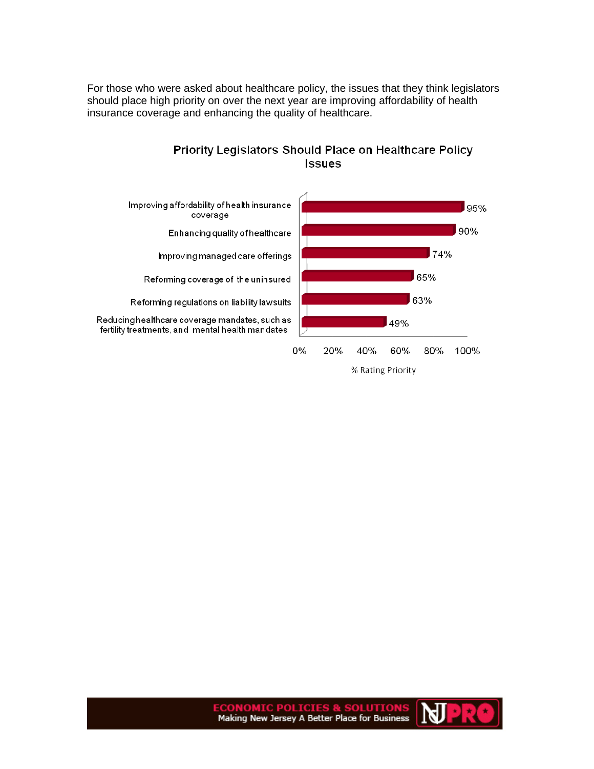For those who were asked about healthcare policy, the issues that they think legislators should place high priority on over the next year are improving affordability of health insurance coverage and enhancing the quality of healthcare.



Priority Legislators Should Place on Healthcare Policy **Issues** 



M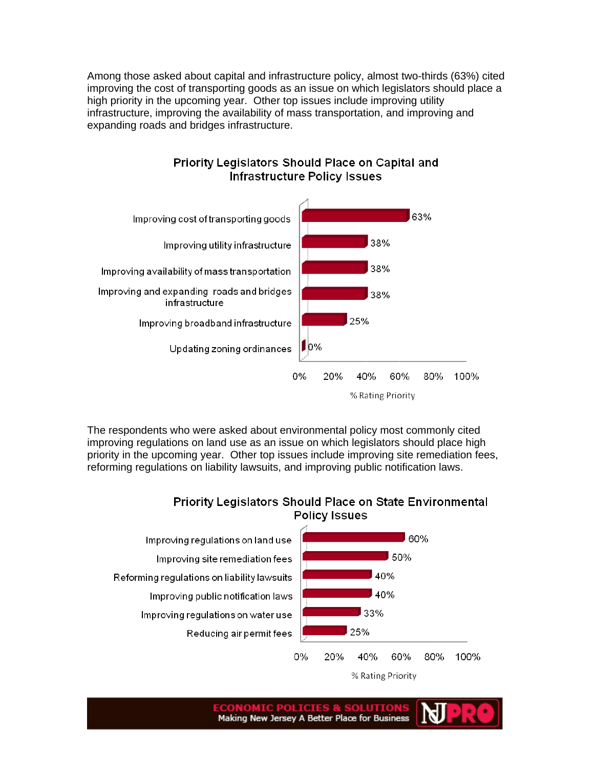Among those asked about capital and infrastructure policy, almost two-thirds (63%) cited improving the cost of transporting goods as an issue on which legislators should place a high priority in the upcoming year. Other top issues include improving utility infrastructure, improving the availability of mass transportation, and improving and expanding roads and bridges infrastructure.



Priority Legislators Should Place on Capital and **Infrastructure Policy Issues** 

The respondents who were asked about environmental policy most commonly cited improving regulations on land use as an issue on which legislators should place high priority in the upcoming year. Other top issues include improving site remediation fees, reforming regulations on liability lawsuits, and improving public notification laws.



# **Priority Legislators Should Place on State Environmental**

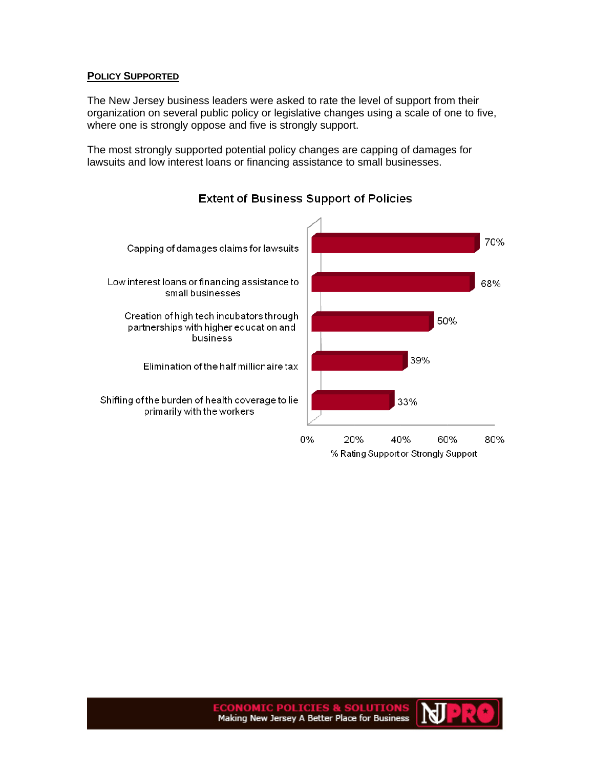#### **POLICY SUPPORTED**

The New Jersey business leaders were asked to rate the level of support from their organization on several public policy or legislative changes using a scale of one to five, where one is strongly oppose and five is strongly support.

The most strongly supported potential policy changes are capping of damages for lawsuits and low interest loans or financing assistance to small businesses.



## **Extent of Business Support of Policies**



NJ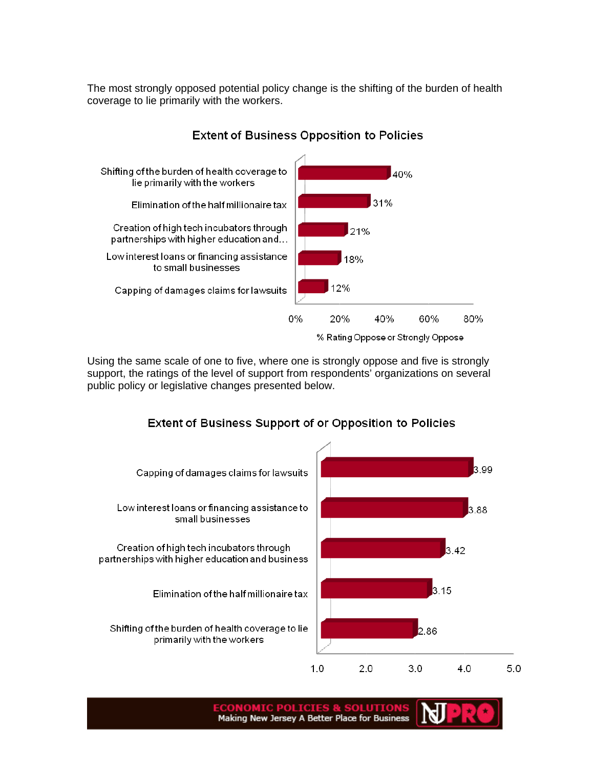The most strongly opposed potential policy change is the shifting of the burden of health coverage to lie primarily with the workers.



## **Extent of Business Opposition to Policies**

Using the same scale of one to five, where one is strongly oppose and five is strongly support, the ratings of the level of support from respondents' organizations on several public policy or legislative changes presented below.

## **Extent of Business Support of or Opposition to Policies**



Making New Jersey A Better Place for Business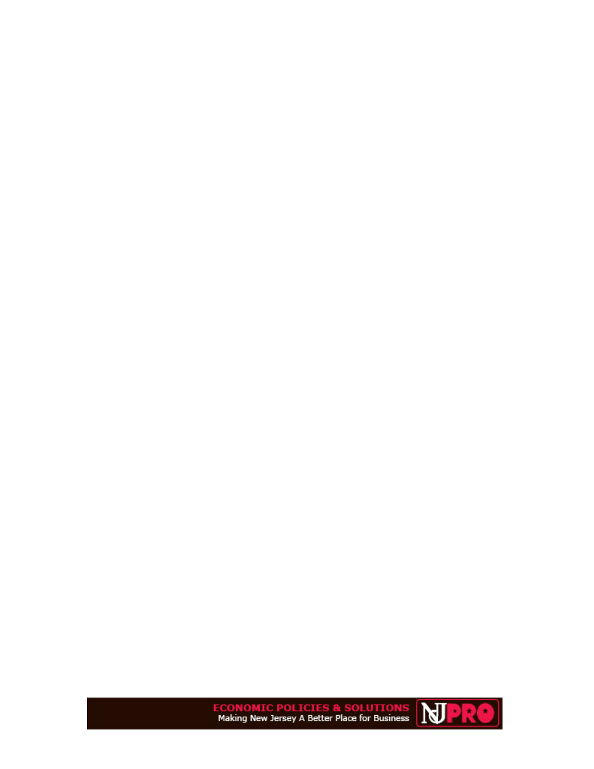

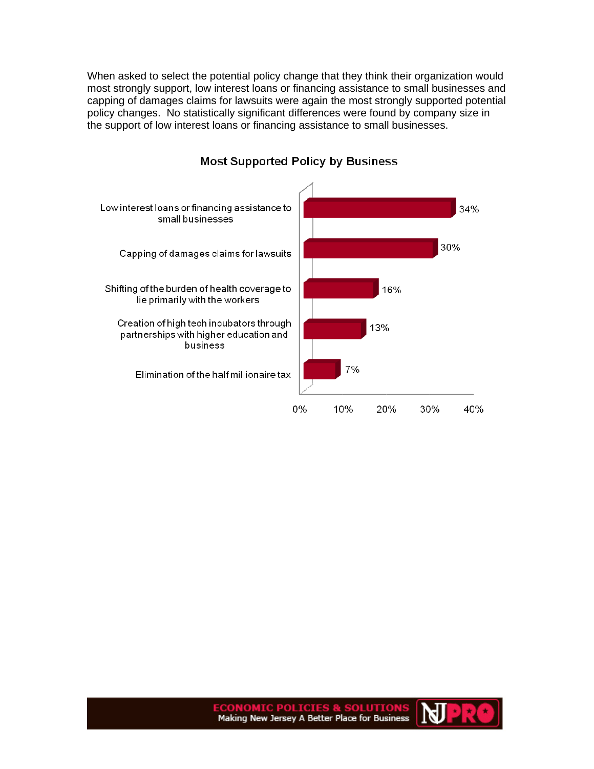When asked to select the potential policy change that they think their organization would most strongly support, low interest loans or financing assistance to small businesses and capping of damages claims for lawsuits were again the most strongly supported potential policy changes. No statistically significant differences were found by company size in the support of low interest loans or financing assistance to small businesses.



## **Most Supported Policy by Business**

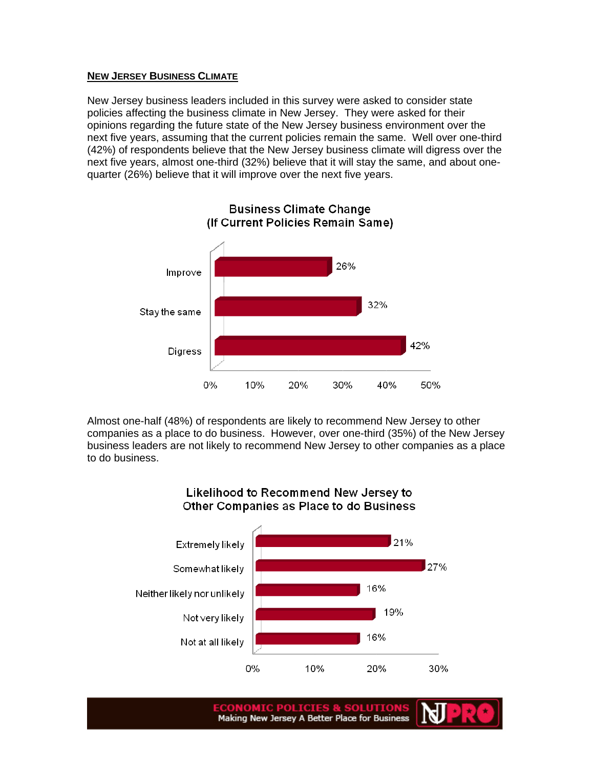#### **NEW JERSEY BUSINESS CLIMATE**

New Jersey business leaders included in this survey were asked to consider state policies affecting the business climate in New Jersey. They were asked for their opinions regarding the future state of the New Jersey business environment over the next five years, assuming that the current policies remain the same. Well over one-third (42%) of respondents believe that the New Jersey business climate will digress over the next five years, almost one-third (32%) believe that it will stay the same, and about onequarter (26%) believe that it will improve over the next five years.

**Business Climate Change** 



Almost one-half (48%) of respondents are likely to recommend New Jersey to other companies as a place to do business. However, over one-third (35%) of the New Jersey business leaders are not likely to recommend New Jersey to other companies as a place to do business.





Making New Jersey A Better Place for Business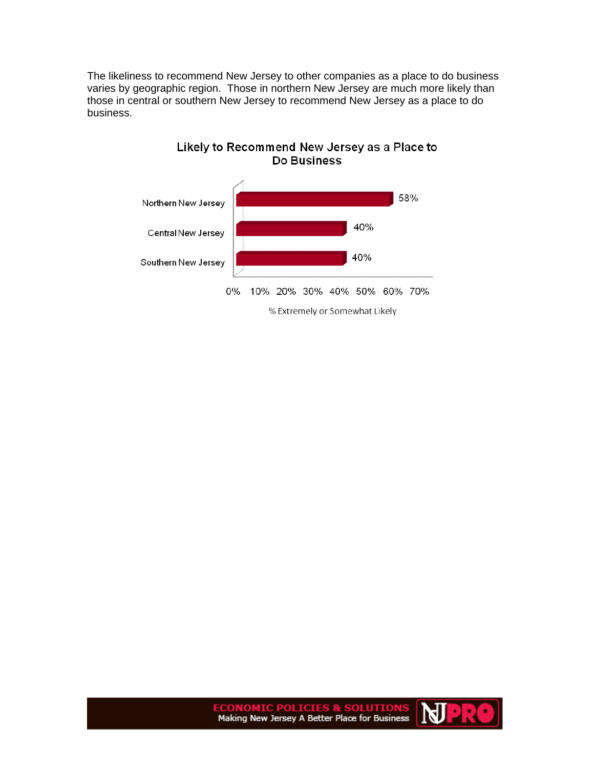The likeliness to recommend New Jersey to other companies as a place to do business varies by geographic region. Those in northern New Jersey are much more likely than those in central or southern New Jersey to recommend New Jersey as a place to do business.



Likely to Recommend New Jersey as a Place to Do Business



NJ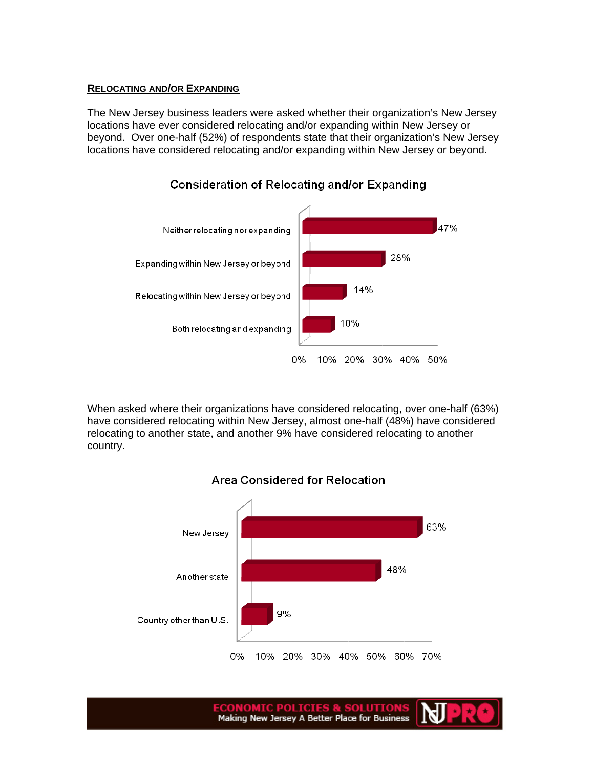#### **RELOCATING AND/OR EXPANDING**

The New Jersey business leaders were asked whether their organization's New Jersey locations have ever considered relocating and/or expanding within New Jersey or beyond. Over one-half (52%) of respondents state that their organization's New Jersey locations have considered relocating and/or expanding within New Jersey or beyond.



## **Consideration of Relocating and/or Expanding**

When asked where their organizations have considered relocating, over one-half (63%) have considered relocating within New Jersey, almost one-half (48%) have considered relocating to another state, and another 9% have considered relocating to another country.





Making New Jersey A Better Place for Business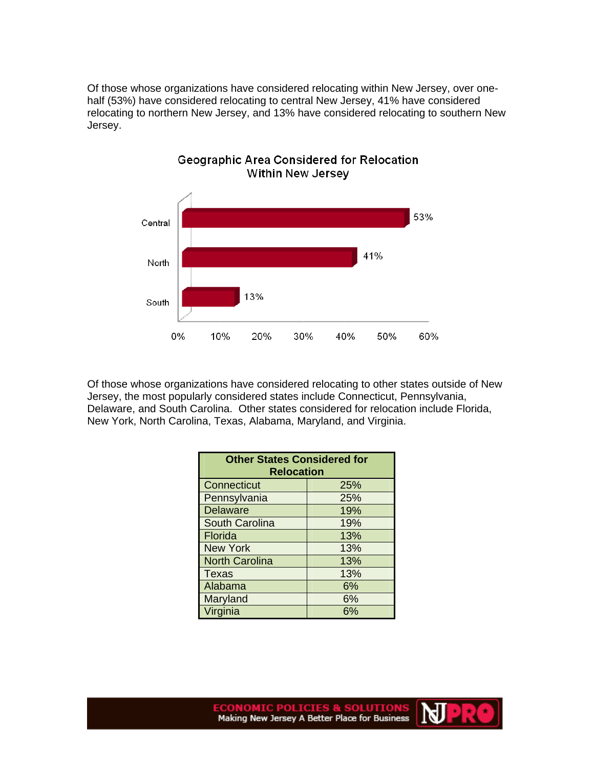Of those whose organizations have considered relocating within New Jersey, over onehalf (53%) have considered relocating to central New Jersey, 41% have considered relocating to northern New Jersey, and 13% have considered relocating to southern New Jersey.



**Geographic Area Considered for Relocation Within New Jersey** 

Of those whose organizations have considered relocating to other states outside of New Jersey, the most popularly considered states include Connecticut, Pennsylvania, Delaware, and South Carolina. Other states considered for relocation include Florida, New York, North Carolina, Texas, Alabama, Maryland, and Virginia.

| <b>Other States Considered for</b><br><b>Relocation</b> |     |  |  |  |
|---------------------------------------------------------|-----|--|--|--|
| Connecticut                                             | 25% |  |  |  |
| Pennsylvania                                            | 25% |  |  |  |
| <b>Delaware</b>                                         | 19% |  |  |  |
| South Carolina                                          | 19% |  |  |  |
| Florida                                                 | 13% |  |  |  |
| <b>New York</b>                                         | 13% |  |  |  |
| <b>North Carolina</b>                                   | 13% |  |  |  |
| Texas                                                   | 13% |  |  |  |
| Alabama                                                 | 6%  |  |  |  |
| Maryland                                                | 6%  |  |  |  |
| Virginia                                                | 6%  |  |  |  |

NJ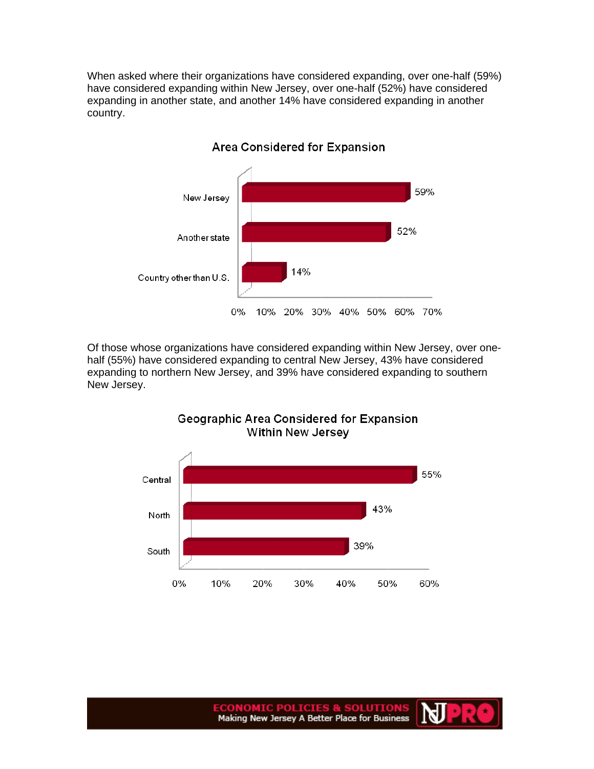When asked where their organizations have considered expanding, over one-half (59%) have considered expanding within New Jersey, over one-half (52%) have considered expanding in another state, and another 14% have considered expanding in another country.



## **Area Considered for Expansion**

Of those whose organizations have considered expanding within New Jersey, over onehalf (55%) have considered expanding to central New Jersey, 43% have considered expanding to northern New Jersey, and 39% have considered expanding to southern New Jersey.

**Geographic Area Considered for Expansion** 



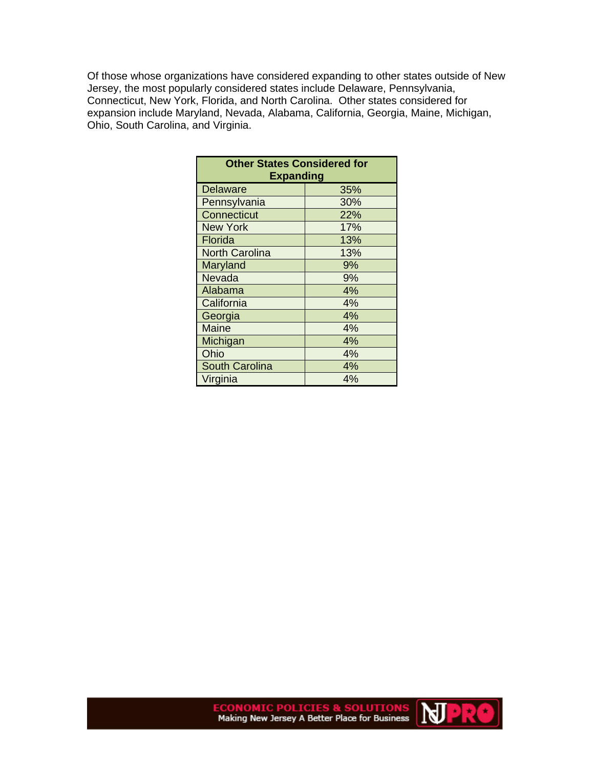Of those whose organizations have considered expanding to other states outside of New Jersey, the most popularly considered states include Delaware, Pennsylvania, Connecticut, New York, Florida, and North Carolina. Other states considered for expansion include Maryland, Nevada, Alabama, California, Georgia, Maine, Michigan, Ohio, South Carolina, and Virginia.

| <b>Other States Considered for</b> |     |  |  |  |  |  |
|------------------------------------|-----|--|--|--|--|--|
| <b>Expanding</b>                   |     |  |  |  |  |  |
| <b>Delaware</b>                    | 35% |  |  |  |  |  |
| Pennsylvania                       | 30% |  |  |  |  |  |
| Connecticut                        | 22% |  |  |  |  |  |
| <b>New York</b>                    | 17% |  |  |  |  |  |
| Florida                            | 13% |  |  |  |  |  |
| <b>North Carolina</b>              | 13% |  |  |  |  |  |
| Maryland                           | 9%  |  |  |  |  |  |
| Nevada                             | 9%  |  |  |  |  |  |
| Alabama                            | 4%  |  |  |  |  |  |
| California                         | 4%  |  |  |  |  |  |
| Georgia                            | 4%  |  |  |  |  |  |
| Maine                              | 4%  |  |  |  |  |  |
| Michigan                           | 4%  |  |  |  |  |  |
| Ohio                               | 4%  |  |  |  |  |  |
| <b>South Carolina</b>              | 4%  |  |  |  |  |  |
| Virginia                           | 4%  |  |  |  |  |  |

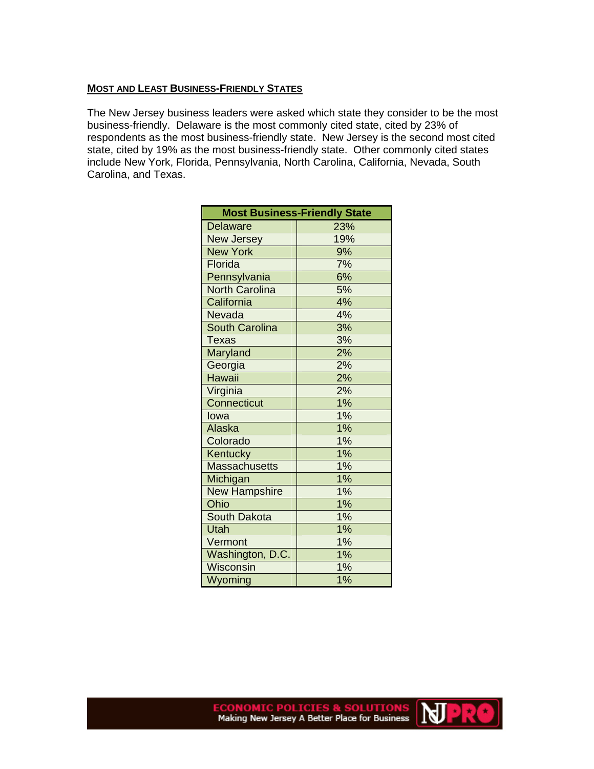#### **MOST AND LEAST BUSINESS-FRIENDLY STATES**

The New Jersey business leaders were asked which state they consider to be the most business-friendly. Delaware is the most commonly cited state, cited by 23% of respondents as the most business-friendly state. New Jersey is the second most cited state, cited by 19% as the most business-friendly state. Other commonly cited states include New York, Florida, Pennsylvania, North Carolina, California, Nevada, South Carolina, and Texas.

| <b>Most Business-Friendly State</b> |     |  |  |  |
|-------------------------------------|-----|--|--|--|
| <b>Delaware</b>                     | 23% |  |  |  |
| <b>New Jersey</b>                   | 19% |  |  |  |
| <b>New York</b>                     | 9%  |  |  |  |
| Florida                             | 7%  |  |  |  |
| Pennsylvania                        | 6%  |  |  |  |
| <b>North Carolina</b>               | 5%  |  |  |  |
| California                          | 4%  |  |  |  |
| Nevada                              | 4%  |  |  |  |
| <b>South Carolina</b>               | 3%  |  |  |  |
| <b>Texas</b>                        | 3%  |  |  |  |
| Maryland                            | 2%  |  |  |  |
| Georgia                             | 2%  |  |  |  |
| <b>Hawaii</b>                       | 2%  |  |  |  |
| Virginia                            | 2%  |  |  |  |
| Connecticut                         | 1%  |  |  |  |
| lowa                                | 1%  |  |  |  |
| Alaska                              | 1%  |  |  |  |
| Colorado                            | 1%  |  |  |  |
| Kentucky                            | 1%  |  |  |  |
| <b>Massachusetts</b>                | 1%  |  |  |  |
| Michigan                            | 1%  |  |  |  |
| <b>New Hampshire</b>                | 1%  |  |  |  |
| Ohio                                | 1%  |  |  |  |
| <b>South Dakota</b>                 | 1%  |  |  |  |
| Utah                                | 1%  |  |  |  |
| Vermont                             | 1%  |  |  |  |
| Washington, D.C.                    | 1%  |  |  |  |
| <b>Wisconsin</b>                    | 1%  |  |  |  |
| Wyoming                             | 1%  |  |  |  |

 $\mathbb N$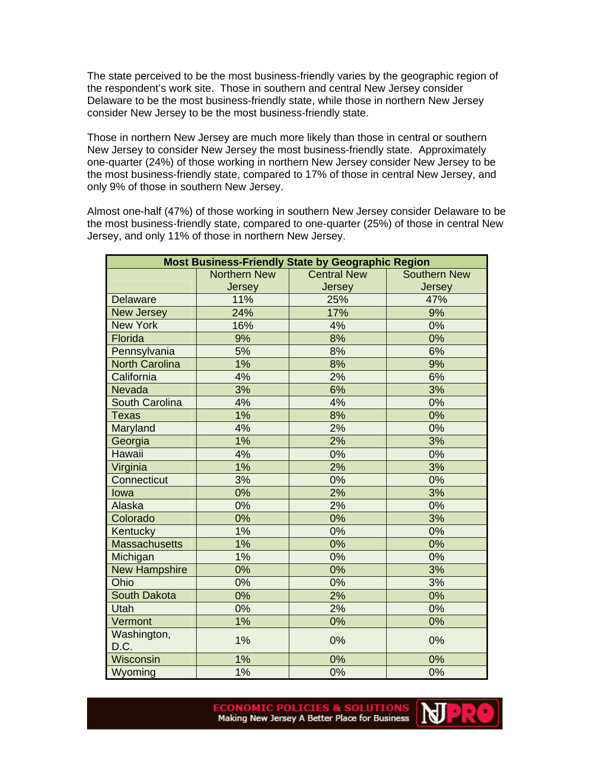The state perceived to be the most business-friendly varies by the geographic region of the respondent's work site. Those in southern and central New Jersey consider Delaware to be the most business-friendly state, while those in northern New Jersey consider New Jersey to be the most business-friendly state.

Those in northern New Jersey are much more likely than those in central or southern New Jersey to consider New Jersey the most business-friendly state. Approximately one-quarter (24%) of those working in northern New Jersey consider New Jersey to be the most business-friendly state, compared to 17% of those in central New Jersey, and only 9% of those in southern New Jersey.

Almost one-half (47%) of those working in southern New Jersey consider Delaware to be the most business-friendly state, compared to one-quarter (25%) of those in central New Jersey, and only 11% of those in northern New Jersey.

| <b>Most Business-Friendly State by Geographic Region</b> |                                                                  |        |               |  |  |  |  |
|----------------------------------------------------------|------------------------------------------------------------------|--------|---------------|--|--|--|--|
|                                                          | <b>Northern New</b><br><b>Central New</b><br><b>Southern New</b> |        |               |  |  |  |  |
|                                                          | <b>Jersey</b>                                                    | Jersey | <b>Jersey</b> |  |  |  |  |
| <b>Delaware</b>                                          | 11%                                                              | 25%    | 47%           |  |  |  |  |
| <b>New Jersey</b>                                        | 24%                                                              | 17%    | 9%            |  |  |  |  |
| <b>New York</b>                                          | 16%                                                              | 4%     | 0%            |  |  |  |  |
| Florida                                                  | 9%                                                               | 8%     | 0%            |  |  |  |  |
| Pennsylvania                                             | 5%                                                               | 8%     | 6%            |  |  |  |  |
| <b>North Carolina</b>                                    | 1%                                                               | 8%     | 9%            |  |  |  |  |
| California                                               | 4%                                                               | 2%     | 6%            |  |  |  |  |
| <b>Nevada</b>                                            | 3%                                                               | 6%     | 3%            |  |  |  |  |
| <b>South Carolina</b>                                    | 4%                                                               | 4%     | 0%            |  |  |  |  |
| <b>Texas</b>                                             | 1%                                                               | 8%     | 0%            |  |  |  |  |
| Maryland                                                 | 4%                                                               | 2%     | 0%            |  |  |  |  |
| Georgia                                                  | 1%                                                               | 2%     | 3%            |  |  |  |  |
| <b>Hawaii</b>                                            | 4%                                                               | 0%     | 0%            |  |  |  |  |
| Virginia                                                 | 1%                                                               | 2%     | 3%            |  |  |  |  |
| Connecticut                                              | 3%                                                               | 0%     | 0%            |  |  |  |  |
| lowa                                                     | 0%                                                               | 2%     | 3%            |  |  |  |  |
| Alaska                                                   | 0%                                                               | 2%     | 0%            |  |  |  |  |
| Colorado                                                 | 0%                                                               | 0%     | 3%            |  |  |  |  |
| Kentucky                                                 | 1%                                                               | 0%     | $0\%$         |  |  |  |  |
| <b>Massachusetts</b>                                     | 1%                                                               | 0%     | 0%            |  |  |  |  |
| Michigan                                                 | 1%                                                               | 0%     | 0%            |  |  |  |  |
| <b>New Hampshire</b>                                     | 0%                                                               | 0%     | 3%            |  |  |  |  |
| Ohio                                                     | 0%                                                               | 0%     | 3%            |  |  |  |  |
| <b>South Dakota</b>                                      | 0%                                                               | 2%     | 0%            |  |  |  |  |
| Utah                                                     | 0%                                                               | 2%     | 0%            |  |  |  |  |
| Vermont                                                  | 1%                                                               | 0%     | 0%            |  |  |  |  |
| Washington,<br>D.C.                                      | 1%                                                               | 0%     | 0%            |  |  |  |  |
| Wisconsin                                                | 1%                                                               | 0%     | 0%            |  |  |  |  |
| Wyoming                                                  | 1%                                                               | 0%     | 0%            |  |  |  |  |

ECONOMIC POLICIES & SOLUTIONS<br>Making New Jersey A Better Place for Business

NJ.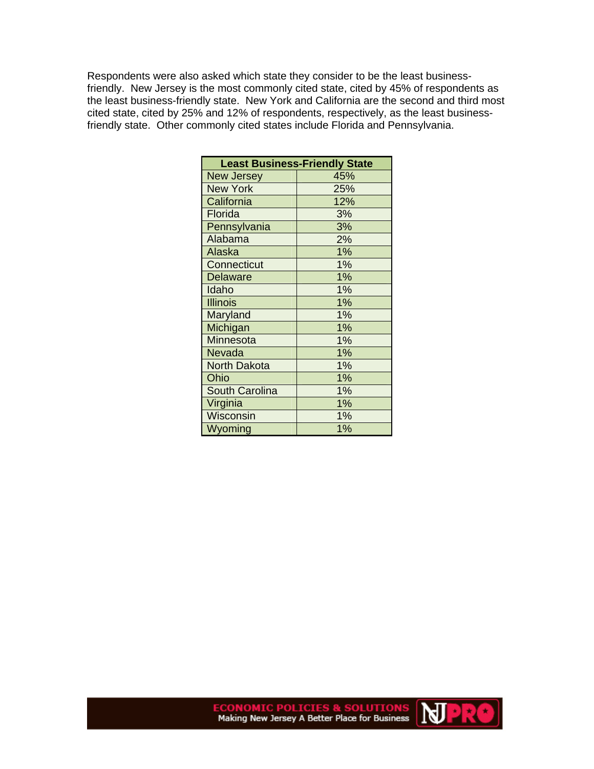Respondents were also asked which state they consider to be the least businessfriendly. New Jersey is the most commonly cited state, cited by 45% of respondents as the least business-friendly state. New York and California are the second and third most cited state, cited by 25% and 12% of respondents, respectively, as the least businessfriendly state. Other commonly cited states include Florida and Pennsylvania.

| <b>Least Business-Friendly State</b> |     |  |  |  |
|--------------------------------------|-----|--|--|--|
| <b>New Jersey</b>                    | 45% |  |  |  |
| <b>New York</b>                      | 25% |  |  |  |
| California                           | 12% |  |  |  |
| Florida                              | 3%  |  |  |  |
| Pennsylvania                         | 3%  |  |  |  |
| Alabama                              | 2%  |  |  |  |
| Alaska                               | 1%  |  |  |  |
| Connecticut                          | 1%  |  |  |  |
| <b>Delaware</b>                      | 1%  |  |  |  |
| Idaho                                | 1%  |  |  |  |
| <b>Illinois</b>                      | 1%  |  |  |  |
| Maryland                             | 1%  |  |  |  |
| Michigan                             | 1%  |  |  |  |
| Minnesota                            | 1%  |  |  |  |
| Nevada                               | 1%  |  |  |  |
| <b>North Dakota</b>                  | 1%  |  |  |  |
| Ohio                                 | 1%  |  |  |  |
| <b>South Carolina</b>                | 1%  |  |  |  |
| Virginia                             | 1%  |  |  |  |
| Wisconsin                            | 1%  |  |  |  |
| Wyoming                              | 1%  |  |  |  |

 $\mathbb N$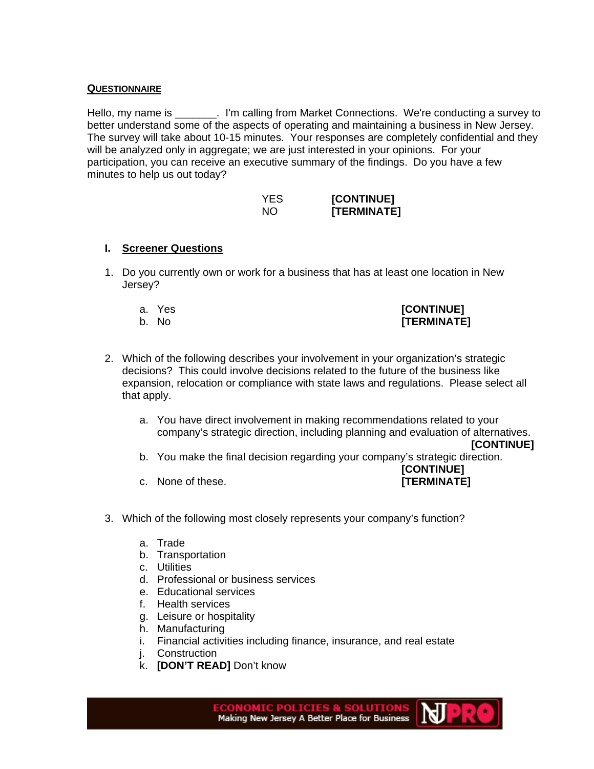#### **QUESTIONNAIRE**

Hello, my name is The calling from Market Connections. We're conducting a survey to better understand some of the aspects of operating and maintaining a business in New Jersey. The survey will take about 10-15 minutes. Your responses are completely confidential and they will be analyzed only in aggregate; we are just interested in your opinions. For your participation, you can receive an executive summary of the findings. Do you have a few minutes to help us out today?

| YES | [CONTINUE]  |
|-----|-------------|
| NO. | [TERMINATE] |

#### **I. Screener Questions**

1. Do you currently own or work for a business that has at least one location in New Jersey?

| a. Yes | [CONTINUE]  |
|--------|-------------|
| b. No  | [TERMINATE] |

- 2. Which of the following describes your involvement in your organization's strategic decisions? This could involve decisions related to the future of the business like expansion, relocation or compliance with state laws and regulations. Please select all that apply.
	- a. You have direct involvement in making recommendations related to your company's strategic direction, including planning and evaluation of alternatives.

**[CONTINUE]**

- b. You make the final decision regarding your company's strategic direction.
- c. None of these.

## **[CONTINUE]**

NJ -

- 3. Which of the following most closely represents your company's function?
	- a. Trade
	- b. Transportation
	- c. Utilities
	- d. Professional or business services
	- e. Educational services
	- f. Health services
	- g. Leisure or hospitality
	- h. Manufacturing
	- i. Financial activities including finance, insurance, and real estate
	- i. Construction
	- k. **[DON'T READ]** Don't know

**ECONOMIC POLICIES & SOLUTIONS**<br>Making New Jersey A Better Place for Business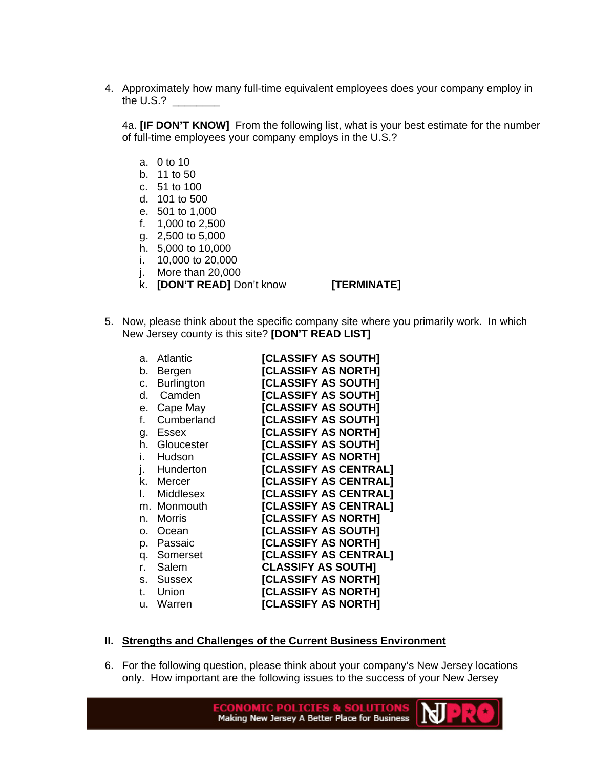4. Approximately how many full-time equivalent employees does your company employ in the  $U.S.$ ?

4a. **[IF DON'T KNOW]** From the following list, what is your best estimate for the number of full-time employees your company employs in the U.S.?

- a. 0 to 10
- b. 11 to 50
- c. 51 to 100
- d. 101 to 500
- e. 501 to 1,000
- f. 1,000 to 2,500
- g. 2,500 to 5,000
- h. 5,000 to 10,000
- i. 10,000 to 20,000
- j. More than 20,000
- k. **[DON'T READ]** Don't know **[TERMINATE]**

- 5. Now, please think about the specific company site where you primarily work. In which New Jersey county is this site? **[DON'T READ LIST]**
	- a. Atlantic **[CLASSIFY AS SOUTH]** b. Bergen **[CLASSIFY AS NORTH]** c. Burlington **[CLASSIFY AS SOUTH]** d. Camden **[CLASSIFY AS SOUTH]** e. Cape May **[CLASSIFY AS SOUTH]** f. Cumberland **[CLASSIFY AS SOUTH]** g. Essex **[CLASSIFY AS NORTH]** h. Gloucester **[CLASSIFY AS SOUTH]** i. Hudson **[CLASSIFY AS NORTH]** j. Hunderton **[CLASSIFY AS CENTRAL]**<br> **K. Mercer** *CLASSIFY AS CENTRALI* **[CLASSIFY AS CENTRAL]** l. Middlesex **[CLASSIFY AS CENTRAL]** m. Monmouth **[CLASSIFY AS CENTRAL]** n. Morris **[CLASSIFY AS NORTH]** o. Ocean **[CLASSIFY AS SOUTH]** p. Passaic **[CLASSIFY AS NORTH]** q. Somerset **[CLASSIFY AS CENTRAL]** r. Salem **CLASSIFY AS SOUTH]** s. Sussex **[CLASSIFY AS NORTH]** t. Union **[CLASSIFY AS NORTH]** u. Warren **[CLASSIFY AS NORTH]**

#### **II. Strengths and Challenges of the Current Business Environment**

6. For the following question, please think about your company's New Jersey locations only. How important are the following issues to the success of your New Jersey

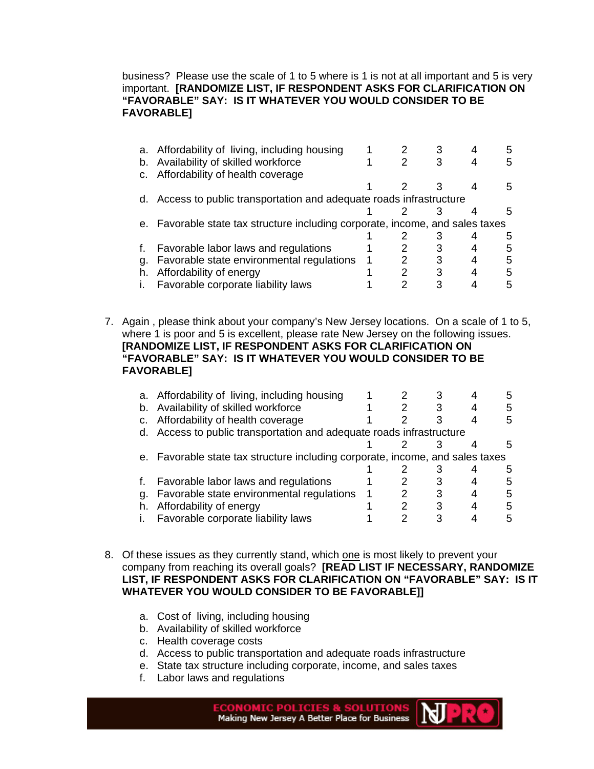business? Please use the scale of 1 to 5 where is 1 is not at all important and 5 is very important. **[RANDOMIZE LIST, IF RESPONDENT ASKS FOR CLARIFICATION ON "FAVORABLE" SAY: IS IT WHATEVER YOU WOULD CONSIDER TO BE FAVORABLE]**

| a. | Affordability of living, including housing                                 |  |  |    |
|----|----------------------------------------------------------------------------|--|--|----|
| b. | Availability of skilled workforce                                          |  |  | 5  |
| C. | Affordability of health coverage                                           |  |  |    |
|    |                                                                            |  |  | h. |
| d. | Access to public transportation and adequate roads infrastructure          |  |  |    |
|    |                                                                            |  |  |    |
| е. | Favorable state tax structure including corporate, income, and sales taxes |  |  |    |
|    |                                                                            |  |  |    |
|    | Favorable labor laws and regulations                                       |  |  |    |
| g. | Favorable state environmental regulations                                  |  |  | 5  |
| h. | Affordability of energy                                                    |  |  | 5  |
|    | Favorable corporate liability laws                                         |  |  | 5  |

7. Again , please think about your company's New Jersey locations. On a scale of 1 to 5, where 1 is poor and 5 is excellent, please rate New Jersey on the following issues. **[RANDOMIZE LIST, IF RESPONDENT ASKS FOR CLARIFICATION ON "FAVORABLE" SAY: IS IT WHATEVER YOU WOULD CONSIDER TO BE FAVORABLE]**

|    | a. Affordability of living, including housing                                 |  |  |  |
|----|-------------------------------------------------------------------------------|--|--|--|
|    | b. Availability of skilled workforce                                          |  |  |  |
|    | c. Affordability of health coverage                                           |  |  |  |
|    | d. Access to public transportation and adequate roads infrastructure          |  |  |  |
|    |                                                                               |  |  |  |
|    | e. Favorable state tax structure including corporate, income, and sales taxes |  |  |  |
|    |                                                                               |  |  |  |
|    | Favorable labor laws and regulations                                          |  |  |  |
| a. | Favorable state environmental regulations                                     |  |  |  |
| h. | Affordability of energy                                                       |  |  |  |
|    | Favorable corporate liability laws                                            |  |  |  |

- 8. Of these issues as they currently stand, which one is most likely to prevent your company from reaching its overall goals? **[READ LIST IF NECESSARY, RANDOMIZE LIST, IF RESPONDENT ASKS FOR CLARIFICATION ON "FAVORABLE" SAY: IS IT WHATEVER YOU WOULD CONSIDER TO BE FAVORABLE]]**
	- a. Cost of living, including housing
	- b. Availability of skilled workforce
	- c. Health coverage costs
	- d. Access to public transportation and adequate roads infrastructure
	- e. State tax structure including corporate, income, and sales taxes
	- f. Labor laws and regulations

POLICI Making New Jersey A Better Place for Business

NJ.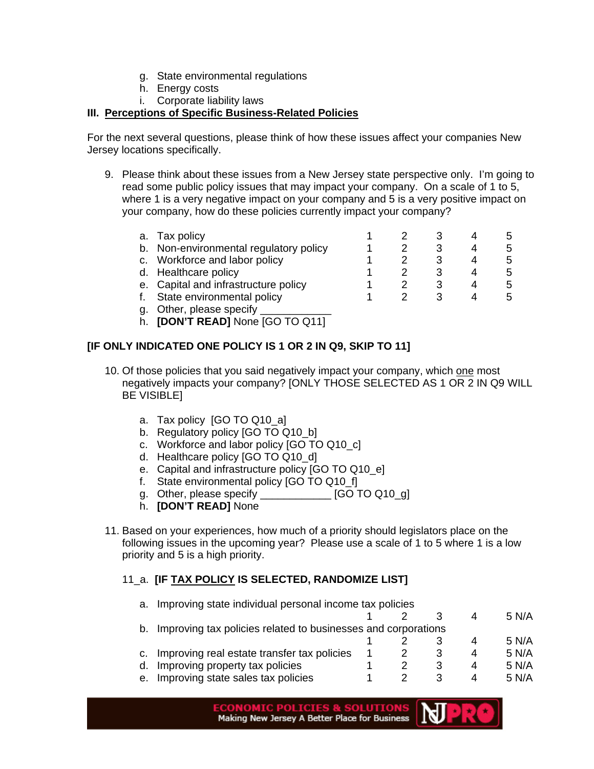- g. State environmental regulations
- h. Energy costs
- i. Corporate liability laws

#### **III. Perceptions of Specific Business-Related Policies**

For the next several questions, please think of how these issues affect your companies New Jersey locations specifically.

9. Please think about these issues from a New Jersey state perspective only. I'm going to read some public policy issues that may impact your company. On a scale of 1 to 5, where 1 is a very negative impact on your company and 5 is a very positive impact on your company, how do these policies currently impact your company?

| a. Tax policy                          |  |  |    |
|----------------------------------------|--|--|----|
| b. Non-environmental regulatory policy |  |  |    |
| c. Workforce and labor policy          |  |  |    |
| d. Healthcare policy                   |  |  | :5 |
| e. Capital and infrastructure policy   |  |  | .h |
| State environmental policy             |  |  |    |
| Other, please specify                  |  |  |    |

h. **[DON'T READ]** None [GO TO Q11]

## **[IF ONLY INDICATED ONE POLICY IS 1 OR 2 IN Q9, SKIP TO 11]**

- 10. Of those policies that you said negatively impact your company, which one most negatively impacts your company? [ONLY THOSE SELECTED AS 1 OR 2 IN Q9 WILL BE VISIBLE]
	- a. Tax policy [GO TO Q10\_a]
	- b. Regulatory policy [GO TO Q10\_b]
	- c. Workforce and labor policy [GO TO Q10\_c]
	- d. Healthcare policy [GO TO Q10\_d]
	- e. Capital and infrastructure policy [GO TO Q10\_e]
	- f. State environmental policy [GO TO Q10\_f]
	- g. Other, please specify [GO TO Q10 g]
	- h. **[DON'T READ]** None
- 11. Based on your experiences, how much of a priority should legislators place on the following issues in the upcoming year? Please use a scale of 1 to 5 where 1 is a low priority and 5 is a high priority.

## 11\_a. **[IF TAX POLICY IS SELECTED, RANDOMIZE LIST]**

| a. Improving state individual personal income tax policies       |   |       |
|------------------------------------------------------------------|---|-------|
|                                                                  |   | 5 N/A |
| b. Improving tax policies related to businesses and corporations |   |       |
|                                                                  |   | 5 N/A |
| Improving real estate transfer tax policies                      | 4 | 5 N/A |
| Improving property tax policies<br>d.                            | 4 | 5 N/A |
| e. Improving state sales tax policies                            | 4 | 5 N/A |

NJ.

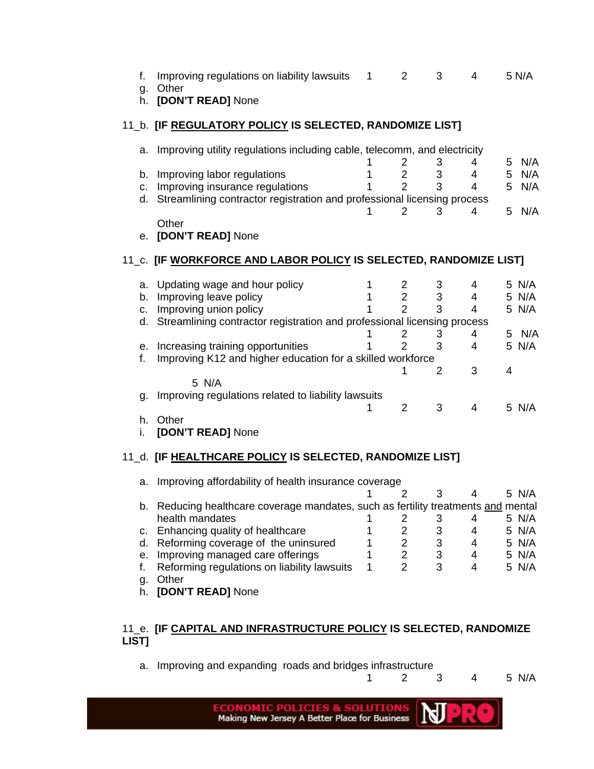| f.<br>g.<br>h. | Improving regulations on liability lawsuits<br>Other<br>[DON'T READ] None                                  | 1 | 2              | 3              | 4 | 5 N/A    |
|----------------|------------------------------------------------------------------------------------------------------------|---|----------------|----------------|---|----------|
|                | 11_b. [IF <u>REGULATORY POLICY</u> IS SELECTED, RANDOMIZE LIST]                                            |   |                |                |   |          |
| а.             | Improving utility regulations including cable, telecomm, and electricity                                   |   | 2              | 3              | 4 | 5 N/A    |
| b.             | Improving labor regulations                                                                                | 1 | $\overline{2}$ | 3              | 4 | 5 N/A    |
| $C_{1}$<br>d.  | Improving insurance regulations<br>Streamlining contractor registration and professional licensing process | 1 | $\overline{2}$ | 3              | 4 | 5 N/A    |
| е.             | Other<br>[DON'T READ] None                                                                                 | 1 | 2              | З              | 4 | N/A<br>5 |
|                | 11_c. [IF WORKFORCE AND LABOR POLICY IS SELECTED, RANDOMIZE LIST]                                          |   |                |                |   |          |
| а.             | Updating wage and hour policy                                                                              | 1 | 2              | 3              | 4 | 5 N/A    |
| b.             | Improving leave policy                                                                                     | 1 | $\overline{2}$ | 3              | 4 | 5 N/A    |
| C.             | Improving union policy                                                                                     |   | $\overline{2}$ | 3              | 4 | 5 N/A    |
| d.             | Streamlining contractor registration and professional licensing process                                    |   |                |                |   |          |
|                |                                                                                                            |   | 2              | 3              | 4 | 5 N/A    |
| е.             | Increasing training opportunities                                                                          | 1 | $\overline{2}$ | 3              | 4 | 5 N/A    |
| f.             | Improving K12 and higher education for a skilled workforce                                                 |   |                |                |   |          |
|                |                                                                                                            |   | 1              | $\overline{2}$ | 3 | 4        |
|                | 5 N/A                                                                                                      |   |                |                |   |          |
| g.             | Improving regulations related to liability lawsuits                                                        |   |                |                |   |          |
|                |                                                                                                            |   | $\overline{2}$ | 3              | 4 | 5 N/A    |
| h.             | Other                                                                                                      |   |                |                |   |          |
| i.             | [DON'T READ] None                                                                                          |   |                |                |   |          |
|                | 11_d. [IF <u>HEALTHCARE POLICY</u> IS SELECTED, RANDOMIZE LIST]                                            |   |                |                |   |          |
| а.             | Improving affordability of health insurance coverage                                                       | 1 | $\overline{2}$ | 3              | 4 | 5 N/A    |
|                | b. Reducing healthcare coverage mandates, such as fertility treatments and mental                          |   |                |                |   |          |
|                | health mandates                                                                                            |   | 2              | 3              | 4 | 5 N/A    |
| C.             | Enhancing quality of healthcare                                                                            | 1 | $\overline{2}$ | 3              | 4 | 5 N/A    |
| d.             | Reforming coverage of the uninsured                                                                        | 1 | $\overline{2}$ | 3              | 4 | 5 N/A    |
| е.             | Improving managed care offerings                                                                           | 1 | $\overline{2}$ | 3              | 4 | 5 N/A    |
| f.             | Reforming regulations on liability lawsuits                                                                | 1 | $\overline{2}$ | 3              | 4 | 5 N/A    |
| g.             | Other                                                                                                      |   |                |                |   |          |
| h.             | [DON'T READ] None                                                                                          |   |                |                |   |          |
|                |                                                                                                            |   |                |                |   |          |

## 11\_e. **[IF CAPITAL AND INFRASTRUCTURE POLICY IS SELECTED, RANDOMIZE LIST]**

a. Improving and expanding roads and bridges infrastructure

1 2 3 4 5 N/A

 $\overline{\mathbf{N}}$ 

**ECONOMIC POLICIES & SOLUTIONS**<br>Making New Jersey A Better Place for Business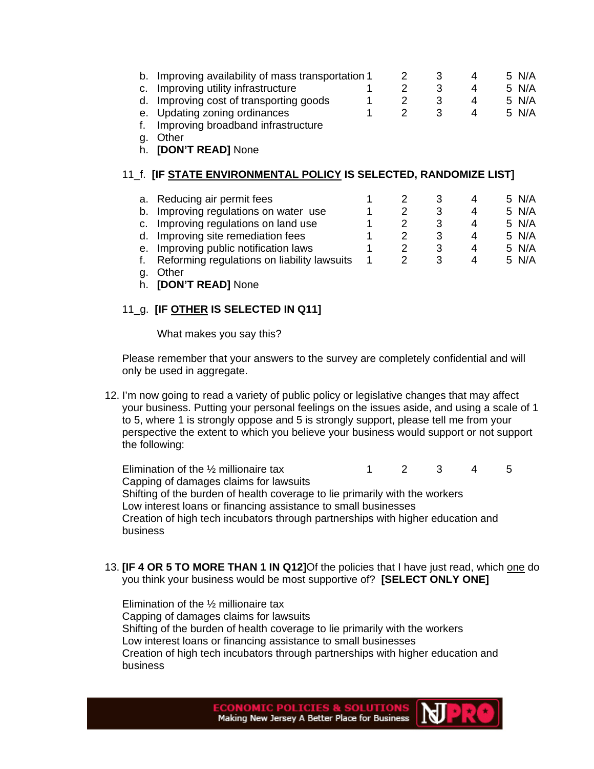| b.<br>c.<br>d.<br>е.<br>g.<br>h.                                 | Improving availability of mass transportation 1<br>Improving utility infrastructure<br>Improving cost of transporting goods<br>Updating zoning ordinances<br>Improving broadband infrastructure<br>Other<br>[DON'T READ] None |  | 2<br>2<br>2<br>2 | 3<br>3<br>3<br>3 | 4<br>4<br>4<br>4 | 5 N/A<br>5 N/A<br>5 N/A<br>5 N/A |  |  |  |  |
|------------------------------------------------------------------|-------------------------------------------------------------------------------------------------------------------------------------------------------------------------------------------------------------------------------|--|------------------|------------------|------------------|----------------------------------|--|--|--|--|
| 11_f.【IF STATE ENVIRONMENTAL POLICY IS SELECTED, RANDOMIZE LIST] |                                                                                                                                                                                                                               |  |                  |                  |                  |                                  |  |  |  |  |
| а.<br>b.                                                         | Reducing air permit fees<br>Improving regulations on water use                                                                                                                                                                |  | 2<br>2           | 3<br>3           | 4                | 5 N/A<br>N/A<br>5.               |  |  |  |  |

| b. Improving regulations on water use        |  |  | 5 N/A           |
|----------------------------------------------|--|--|-----------------|
| c. Improving regulations on land use         |  |  | 5 N/A           |
| d. Improving site remediation fees           |  |  | 5 N/A           |
| e. Improving public notification laws        |  |  | 5 N/A           |
| Reforming requisitions on liability lawsuits |  |  | $5$ N/ $\Delta$ |

- f. Reforming regulations on liability lawsuits 1 2 3 4 5 N/A
- g. Other
- h. **[DON'T READ]** None

## 11\_g. **[IF OTHER IS SELECTED IN Q11]**

What makes you say this?

Please remember that your answers to the survey are completely confidential and will only be used in aggregate.

12. I'm now going to read a variety of public policy or legislative changes that may affect your business. Putting your personal feelings on the issues aside, and using a scale of 1 to 5, where 1 is strongly oppose and 5 is strongly support, please tell me from your perspective the extent to which you believe your business would support or not support the following:

Elimination of the  $\frac{1}{2}$  millionaire tax  $\begin{array}{cccc} 1 & 2 & 3 & 4 & 5 \end{array}$ Capping of damages claims for lawsuits Shifting of the burden of health coverage to lie primarily with the workers Low interest loans or financing assistance to small businesses Creation of high tech incubators through partnerships with higher education and business

13. **[IF 4 OR 5 TO MORE THAN 1 IN Q12]**Of the policies that I have just read, which one do you think your business would be most supportive of? **[SELECT ONLY ONE]**

 Elimination of the ½ millionaire tax Capping of damages claims for lawsuits Shifting of the burden of health coverage to lie primarily with the workers Low interest loans or financing assistance to small businesses Creation of high tech incubators through partnerships with higher education and business

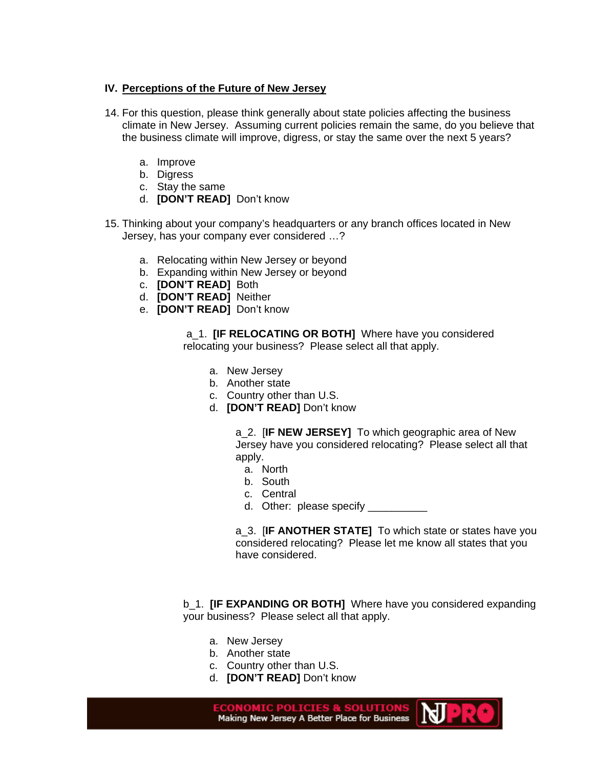#### **IV. Perceptions of the Future of New Jersey**

- 14. For this question, please think generally about state policies affecting the business climate in New Jersey. Assuming current policies remain the same, do you believe that the business climate will improve, digress, or stay the same over the next 5 years?
	- a. Improve
	- b. Digress
	- c. Stay the same
	- d. **[DON'T READ]** Don't know
- 15. Thinking about your company's headquarters or any branch offices located in New Jersey, has your company ever considered …?
	- a. Relocating within New Jersey or beyond
	- b. Expanding within New Jersey or beyond
	- c. **[DON'T READ]** Both
	- d. **[DON'T READ]** Neither
	- e. **[DON'T READ]** Don't know

 a\_1. **[IF RELOCATING OR BOTH]** Where have you considered relocating your business? Please select all that apply.

- a. New Jersey
- b. Another state
- c. Country other than U.S.
- d. **[DON'T READ]** Don't know

a\_2. [**IF NEW JERSEY]** To which geographic area of New Jersey have you considered relocating? Please select all that apply.

- a. North
- b. South
- c. Central
- d. Other: please specify \_\_\_\_\_\_\_\_\_

a\_3. [**IF ANOTHER STATE]** To which state or states have you considered relocating? Please let me know all states that you have considered.

 b\_1. **[IF EXPANDING OR BOTH]** Where have you considered expanding your business? Please select all that apply.

- a. New Jersey
- b. Another state
- c. Country other than U.S.
- d. **[DON'T READ]** Don't know

ECONOMIC POLICIES & SOLUTIONS<br>Making New Jersey A Better Place for Business POLICI NJ.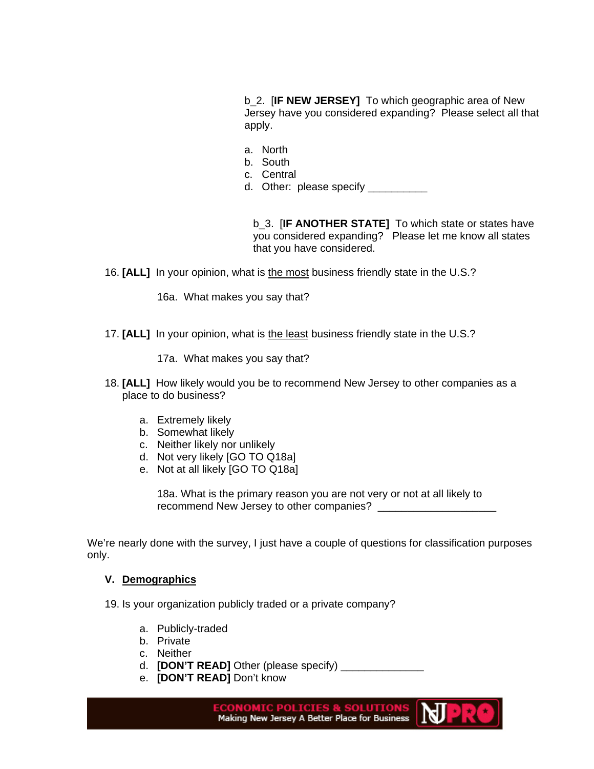b\_2. [**IF NEW JERSEY]** To which geographic area of New Jersey have you considered expanding? Please select all that apply.

- a. North
- b. South
- c. Central
- d. Other: please specify \_\_\_\_\_\_\_\_\_\_

b\_3. [**IF ANOTHER STATE]** To which state or states have you considered expanding? Please let me know all states that you have considered.

16. **[ALL]** In your opinion, what is the most business friendly state in the U.S.?

16a. What makes you say that?

17. [ALL] In your opinion, what is the least business friendly state in the U.S.?

17a. What makes you say that?

- 18. **[ALL]** How likely would you be to recommend New Jersey to other companies as a place to do business?
	- a. Extremely likely
	- b. Somewhat likely
	- c. Neither likely nor unlikely
	- d. Not very likely [GO TO Q18a]
	- e. Not at all likely [GO TO Q18a]

18a. What is the primary reason you are not very or not at all likely to recommend New Jersey to other companies? \_\_\_\_\_\_\_\_\_\_\_\_\_\_\_

We're nearly done with the survey, I just have a couple of questions for classification purposes only.

#### **V. Demographics**

- 19. Is your organization publicly traded or a private company?
	- a. Publicly-traded
	- b. Private
	- c. Neither
	- d. **[DON'T READ]** Other (please specify)
	- e. **[DON'T READ]** Don't know

**ECONOMIC POLICIES & SOLUTIONS**<br>Making New Jersey A Better Place for Business

**NI**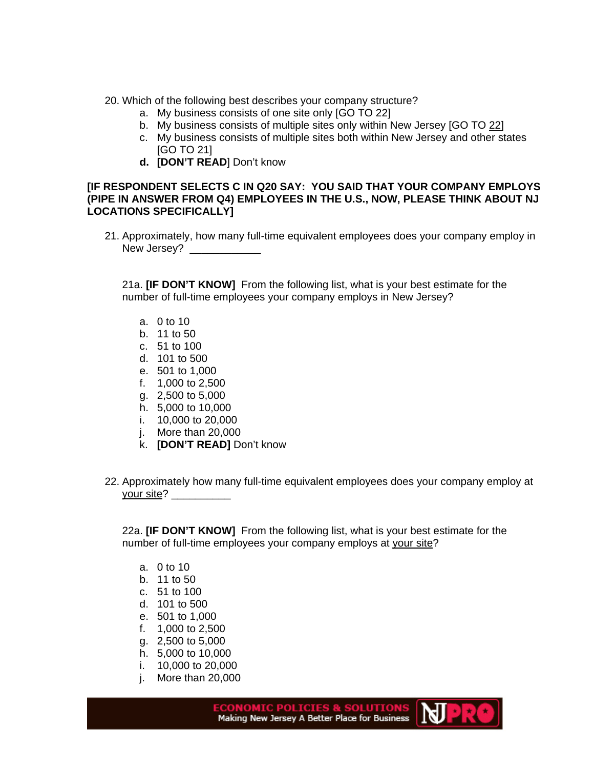- 20. Which of the following best describes your company structure?
	- a. My business consists of one site only [GO TO 22]
	- b. My business consists of multiple sites only within New Jersey [GO TO 22]
	- c. My business consists of multiple sites both within New Jersey and other states [GO TO 21]
	- **d. [DON'T READ**] Don't know

#### **[IF RESPONDENT SELECTS C IN Q20 SAY: YOU SAID THAT YOUR COMPANY EMPLOYS (PIPE IN ANSWER FROM Q4) EMPLOYEES IN THE U.S., NOW, PLEASE THINK ABOUT NJ LOCATIONS SPECIFICALLY]**

21. Approximately, how many full-time equivalent employees does your company employ in New Jersey?

21a. **[IF DON'T KNOW]** From the following list, what is your best estimate for the number of full-time employees your company employs in New Jersey?

- a. 0 to 10
- b. 11 to 50
- c. 51 to 100
- d. 101 to 500
- e. 501 to 1,000
- f. 1,000 to 2,500
- g. 2,500 to 5,000
- h. 5,000 to 10,000
- i. 10,000 to 20,000
- j. More than 20,000
- k. **[DON'T READ]** Don't know
- 22. Approximately how many full-time equivalent employees does your company employ at your site? \_\_\_\_\_\_\_\_\_\_

22a. **[IF DON'T KNOW]** From the following list, what is your best estimate for the number of full-time employees your company employs at your site?

- a. 0 to 10
- b. 11 to 50
- c. 51 to 100
- d. 101 to 500
- e. 501 to 1,000
- f. 1,000 to 2,500
- g. 2,500 to 5,000
- h. 5,000 to 10,000
- i. 10,000 to 20,000
- j. More than 20,000

**ECONOMIC POLICIES & SOLUTIONS**<br>Making New Jersey A Better Place for Business

NJ -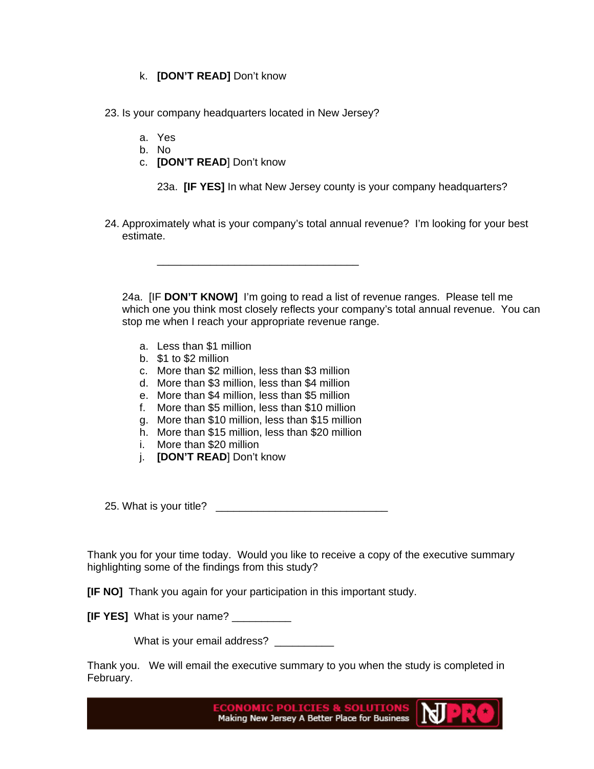#### k. **[DON'T READ]** Don't know

- 23. Is your company headquarters located in New Jersey?
	- a. Yes
	- b. No
	- c. **[DON'T READ**] Don't know

23a. **[IF YES]** In what New Jersey county is your company headquarters?

24. Approximately what is your company's total annual revenue? I'm looking for your best estimate.

24a. [IF **DON'T KNOW]** I'm going to read a list of revenue ranges. Please tell me which one you think most closely reflects your company's total annual revenue. You can stop me when I reach your appropriate revenue range.

- a. Less than \$1 million
- b. \$1 to \$2 million
- c. More than \$2 million, less than \$3 million

\_\_\_\_\_\_\_\_\_\_\_\_\_\_\_\_\_\_\_\_\_\_\_\_\_\_\_\_\_\_\_\_\_\_

- d. More than \$3 million, less than \$4 million
- e. More than \$4 million, less than \$5 million
- f. More than \$5 million, less than \$10 million
- g. More than \$10 million, less than \$15 million
- h. More than \$15 million, less than \$20 million
- i. More than \$20 million
- j. **[DON'T READ**] Don't know

25. What is your title? \_\_\_\_\_\_\_\_\_\_\_\_\_\_\_\_\_\_\_\_\_\_\_\_\_\_\_\_\_

Thank you for your time today. Would you like to receive a copy of the executive summary highlighting some of the findings from this study?

**[IF NO]** Thank you again for your participation in this important study.

**[IF YES]** What is your name? \_\_\_\_\_\_\_\_\_\_

What is your email address?

Thank you. We will email the executive summary to you when the study is completed in February.